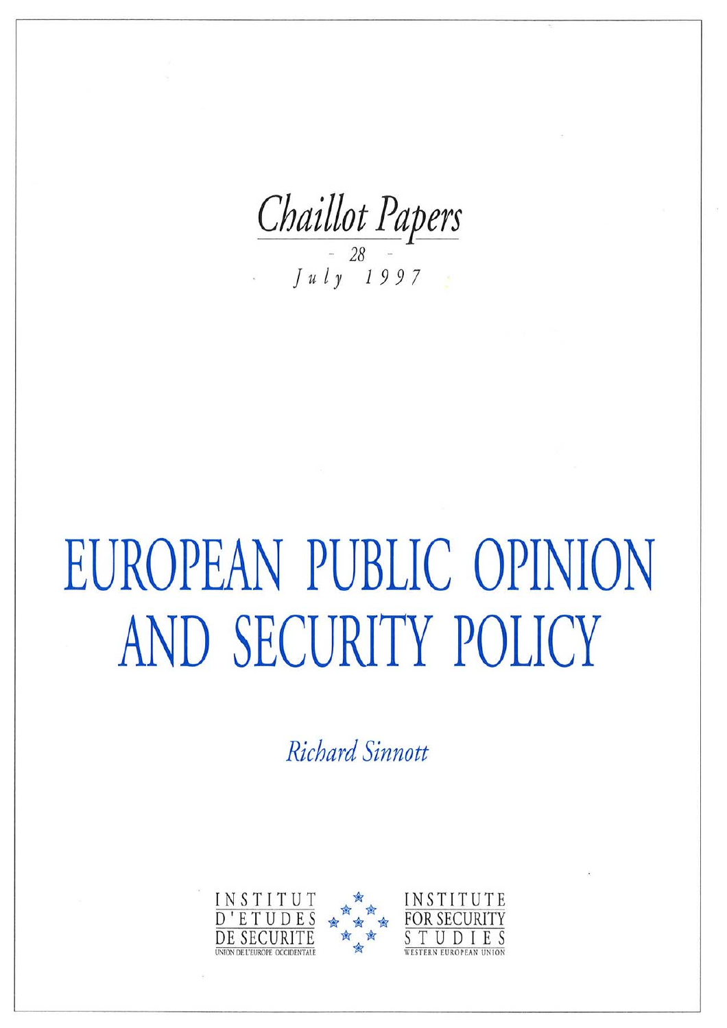Chaillot Papers

# EUROPEAN PUBLIC OPINION AND SECURITY POLICY

Richard Sinnott

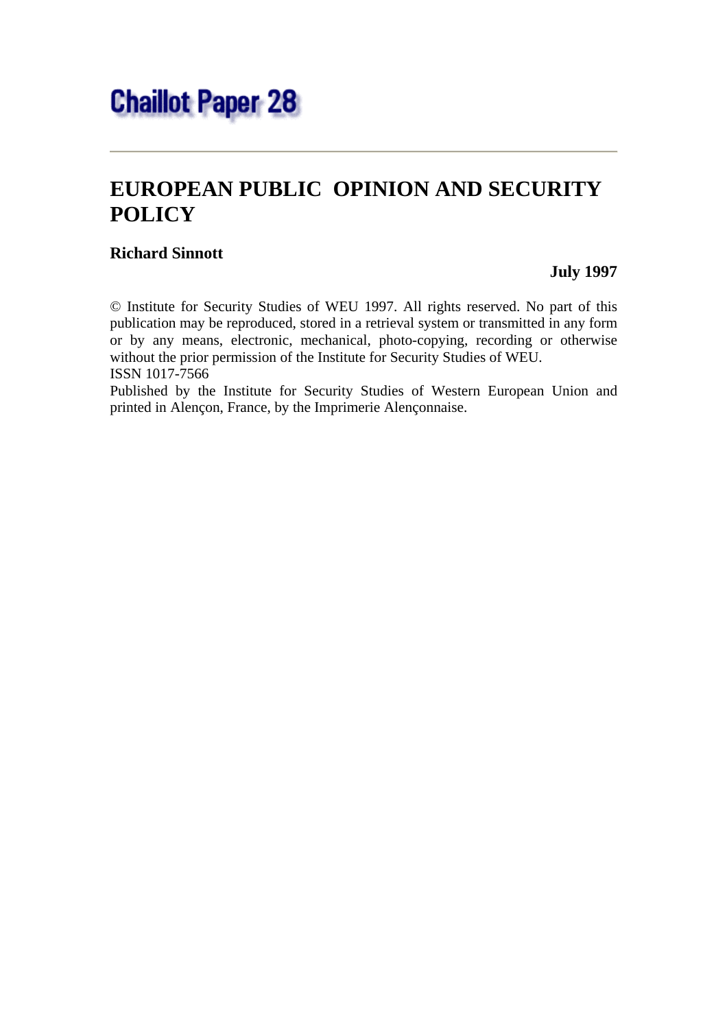

## **EUROPEAN PUBLIC OPINION AND SECURITY POLICY**

#### **Richard Sinnott**

 **July 1997** 

© Institute for Security Studies of WEU 1997. All rights reserved. No part of this publication may be reproduced, stored in a retrieval system or transmitted in any form or by any means, electronic, mechanical, photo-copying, recording or otherwise without the prior permission of the Institute for Security Studies of WEU. ISSN 1017-7566

Published by the Institute for Security Studies of Western European Union and printed in Alençon, France, by the Imprimerie Alençonnaise.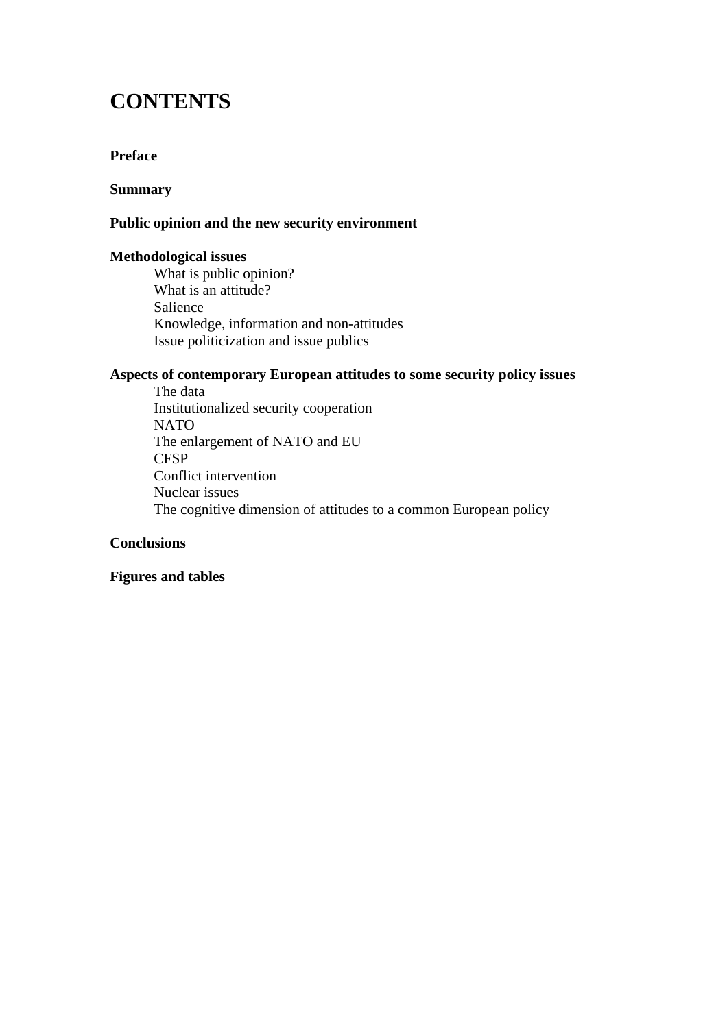## **CONTENTS**

#### **Preface**

#### **Summary**

#### **Public opinion and the new security environment**

#### **Methodological issues**

 What is public opinion? What is an attitude? Salience Knowledge, information and non-attitudes Issue politicization and issue publics

#### **Aspects of contemporary European attitudes to some security policy issues**

 The data Institutionalized security cooperation NATO The enlargement of NATO and EU **CFSP**  Conflict intervention Nuclear issues The cognitive dimension of attitudes to a common European policy

#### **Conclusions**

#### **Figures and tables**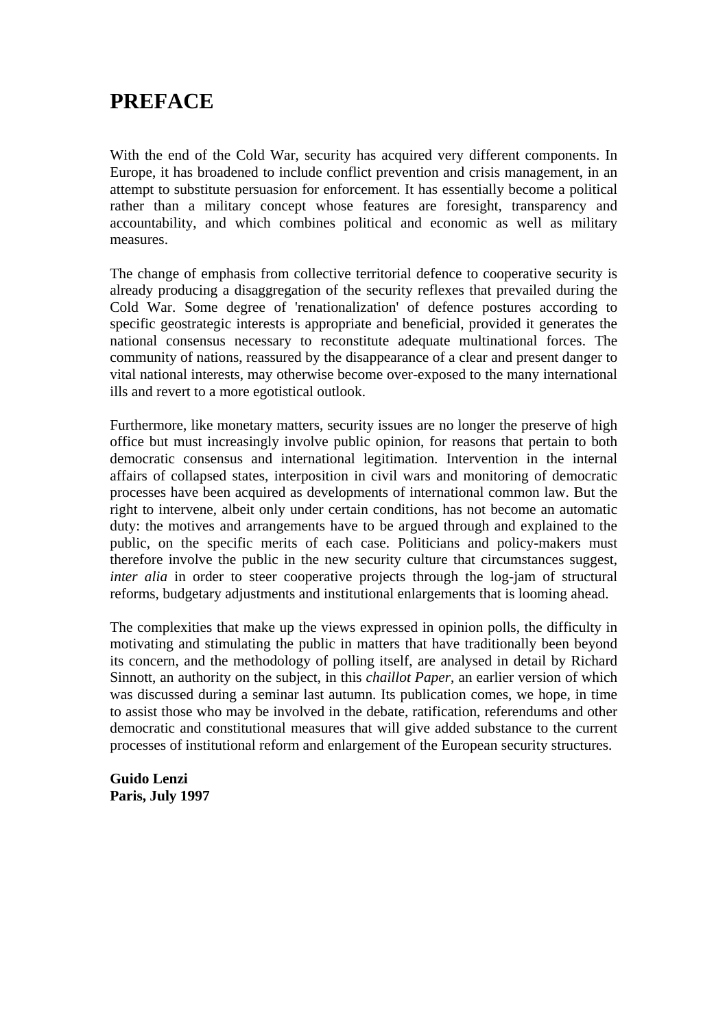### **PREFACE**

With the end of the Cold War, security has acquired very different components. In Europe, it has broadened to include conflict prevention and crisis management, in an attempt to substitute persuasion for enforcement. It has essentially become a political rather than a military concept whose features are foresight, transparency and accountability, and which combines political and economic as well as military measures.

The change of emphasis from collective territorial defence to cooperative security is already producing a disaggregation of the security reflexes that prevailed during the Cold War. Some degree of 'renationalization' of defence postures according to specific geostrategic interests is appropriate and beneficial, provided it generates the national consensus necessary to reconstitute adequate multinational forces. The community of nations, reassured by the disappearance of a clear and present danger to vital national interests, may otherwise become over-exposed to the many international ills and revert to a more egotistical outlook.

Furthermore, like monetary matters, security issues are no longer the preserve of high office but must increasingly involve public opinion, for reasons that pertain to both democratic consensus and international legitimation. Intervention in the internal affairs of collapsed states, interposition in civil wars and monitoring of democratic processes have been acquired as developments of international common law. But the right to intervene, albeit only under certain conditions, has not become an automatic duty: the motives and arrangements have to be argued through and explained to the public, on the specific merits of each case. Politicians and policy-makers must therefore involve the public in the new security culture that circumstances suggest, *inter alia* in order to steer cooperative projects through the log-jam of structural reforms, budgetary adjustments and institutional enlargements that is looming ahead.

The complexities that make up the views expressed in opinion polls, the difficulty in motivating and stimulating the public in matters that have traditionally been beyond its concern, and the methodology of polling itself, are analysed in detail by Richard Sinnott, an authority on the subject, in this *chaillot Paper*, an earlier version of which was discussed during a seminar last autumn. Its publication comes, we hope, in time to assist those who may be involved in the debate, ratification, referendums and other democratic and constitutional measures that will give added substance to the current processes of institutional reform and enlargement of the European security structures.

**Guido Lenzi Paris, July 1997**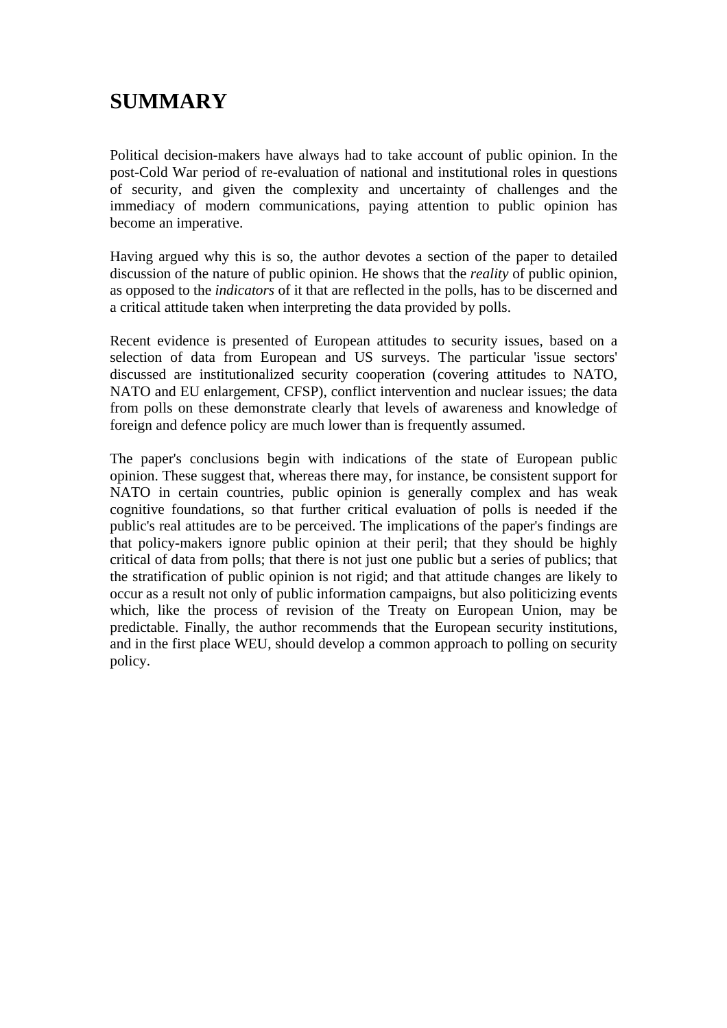# **SUMMARY**

Political decision-makers have always had to take account of public opinion. In the post-Cold War period of re-evaluation of national and institutional roles in questions of security, and given the complexity and uncertainty of challenges and the immediacy of modern communications, paying attention to public opinion has become an imperative.

Having argued why this is so, the author devotes a section of the paper to detailed discussion of the nature of public opinion. He shows that the *reality* of public opinion, as opposed to the *indicators* of it that are reflected in the polls, has to be discerned and a critical attitude taken when interpreting the data provided by polls.

Recent evidence is presented of European attitudes to security issues, based on a selection of data from European and US surveys. The particular 'issue sectors' discussed are institutionalized security cooperation (covering attitudes to NATO, NATO and EU enlargement, CFSP), conflict intervention and nuclear issues; the data from polls on these demonstrate clearly that levels of awareness and knowledge of foreign and defence policy are much lower than is frequently assumed.

The paper's conclusions begin with indications of the state of European public opinion. These suggest that, whereas there may, for instance, be consistent support for NATO in certain countries, public opinion is generally complex and has weak cognitive foundations, so that further critical evaluation of polls is needed if the public's real attitudes are to be perceived. The implications of the paper's findings are that policy-makers ignore public opinion at their peril; that they should be highly critical of data from polls; that there is not just one public but a series of publics; that the stratification of public opinion is not rigid; and that attitude changes are likely to occur as a result not only of public information campaigns, but also politicizing events which, like the process of revision of the Treaty on European Union, may be predictable. Finally, the author recommends that the European security institutions, and in the first place WEU, should develop a common approach to polling on security policy.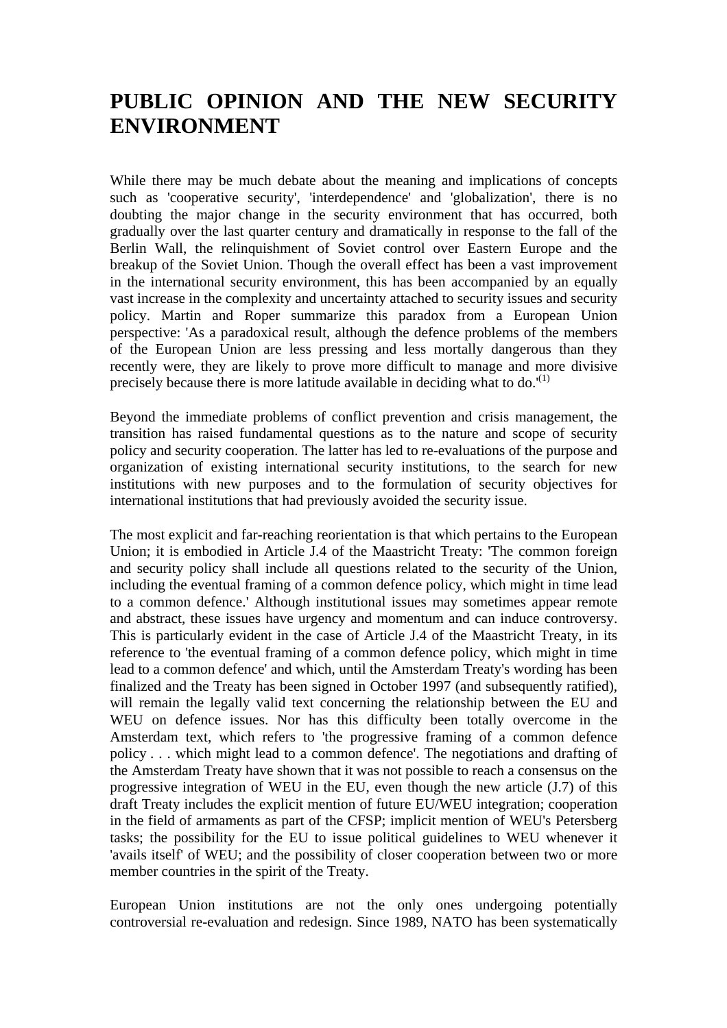## **PUBLIC OPINION AND THE NEW SECURITY ENVIRONMENT**

While there may be much debate about the meaning and implications of concepts such as 'cooperative security', 'interdependence' and 'globalization', there is no doubting the major change in the security environment that has occurred, both gradually over the last quarter century and dramatically in response to the fall of the Berlin Wall, the relinquishment of Soviet control over Eastern Europe and the breakup of the Soviet Union. Though the overall effect has been a vast improvement in the international security environment, this has been accompanied by an equally vast increase in the complexity and uncertainty attached to security issues and security policy. Martin and Roper summarize this paradox from a European Union perspective: 'As a paradoxical result, although the defence problems of the members of the European Union are less pressing and less mortally dangerous than they recently were, they are likely to prove more difficult to manage and more divisive precisely because there is more latitude available in deciding what to do.<sup> $(1)$ </sup>

Beyond the immediate problems of conflict prevention and crisis management, the transition has raised fundamental questions as to the nature and scope of security policy and security cooperation. The latter has led to re-evaluations of the purpose and organization of existing international security institutions, to the search for new institutions with new purposes and to the formulation of security objectives for international institutions that had previously avoided the security issue.

The most explicit and far-reaching reorientation is that which pertains to the European Union; it is embodied in Article J.4 of the Maastricht Treaty: 'The common foreign and security policy shall include all questions related to the security of the Union, including the eventual framing of a common defence policy, which might in time lead to a common defence.' Although institutional issues may sometimes appear remote and abstract, these issues have urgency and momentum and can induce controversy. This is particularly evident in the case of Article J.4 of the Maastricht Treaty, in its reference to 'the eventual framing of a common defence policy, which might in time lead to a common defence' and which, until the Amsterdam Treaty's wording has been finalized and the Treaty has been signed in October 1997 (and subsequently ratified), will remain the legally valid text concerning the relationship between the EU and WEU on defence issues. Nor has this difficulty been totally overcome in the Amsterdam text, which refers to 'the progressive framing of a common defence policy . . . which might lead to a common defence'. The negotiations and drafting of the Amsterdam Treaty have shown that it was not possible to reach a consensus on the progressive integration of WEU in the EU, even though the new article (J.7) of this draft Treaty includes the explicit mention of future EU/WEU integration; cooperation in the field of armaments as part of the CFSP; implicit mention of WEU's Petersberg tasks; the possibility for the EU to issue political guidelines to WEU whenever it 'avails itself' of WEU; and the possibility of closer cooperation between two or more member countries in the spirit of the Treaty.

European Union institutions are not the only ones undergoing potentially controversial re-evaluation and redesign. Since 1989, NATO has been systematically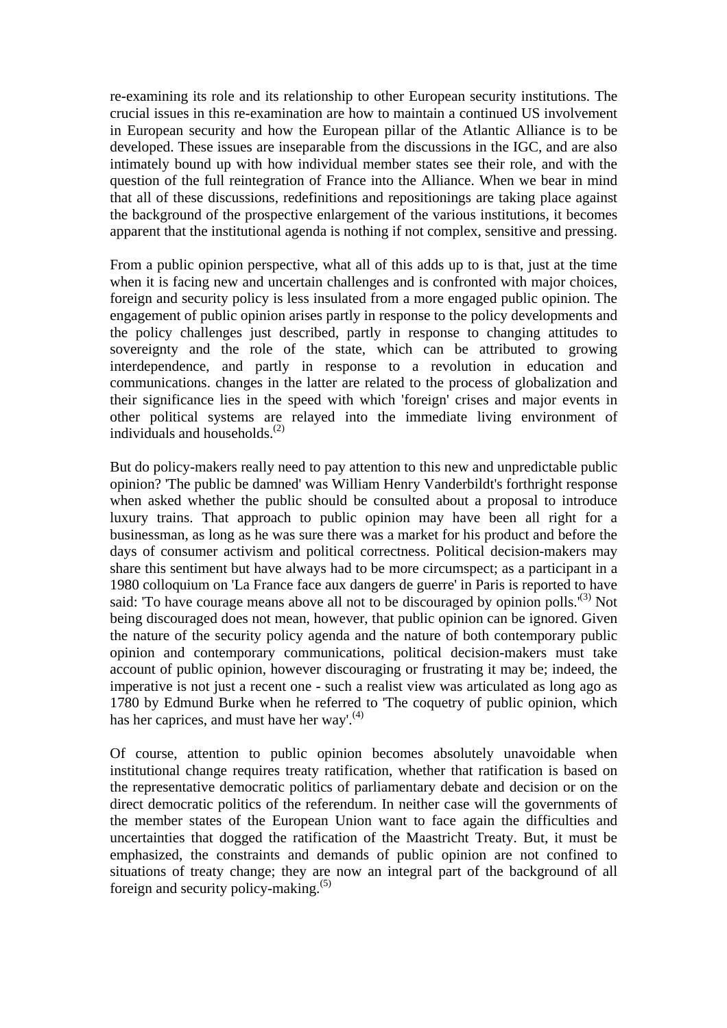re-examining its role and its relationship to other European security institutions. The crucial issues in this re-examination are how to maintain a continued US involvement in European security and how the European pillar of the Atlantic Alliance is to be developed. These issues are inseparable from the discussions in the IGC, and are also intimately bound up with how individual member states see their role, and with the question of the full reintegration of France into the Alliance. When we bear in mind that all of these discussions, redefinitions and repositionings are taking place against the background of the prospective enlargement of the various institutions, it becomes apparent that the institutional agenda is nothing if not complex, sensitive and pressing.

From a public opinion perspective, what all of this adds up to is that, just at the time when it is facing new and uncertain challenges and is confronted with major choices, foreign and security policy is less insulated from a more engaged public opinion. The engagement of public opinion arises partly in response to the policy developments and the policy challenges just described, partly in response to changing attitudes to sovereignty and the role of the state, which can be attributed to growing interdependence, and partly in response to a revolution in education and communications. changes in the latter are related to the process of globalization and their significance lies in the speed with which 'foreign' crises and major events in other political systems are relayed into the immediate living environment of individuals and households.(2)

But do policy-makers really need to pay attention to this new and unpredictable public opinion? 'The public be damned' was William Henry Vanderbildt's forthright response when asked whether the public should be consulted about a proposal to introduce luxury trains. That approach to public opinion may have been all right for a businessman, as long as he was sure there was a market for his product and before the days of consumer activism and political correctness. Political decision-makers may share this sentiment but have always had to be more circumspect; as a participant in a 1980 colloquium on 'La France face aux dangers de guerre' in Paris is reported to have said: 'To have courage means above all not to be discouraged by opinion polls.'<sup>(3)</sup> Not being discouraged does not mean, however, that public opinion can be ignored. Given the nature of the security policy agenda and the nature of both contemporary public opinion and contemporary communications, political decision-makers must take account of public opinion, however discouraging or frustrating it may be; indeed, the imperative is not just a recent one - such a realist view was articulated as long ago as 1780 by Edmund Burke when he referred to 'The coquetry of public opinion, which has her caprices, and must have her way'. $(4)$ 

Of course, attention to public opinion becomes absolutely unavoidable when institutional change requires treaty ratification, whether that ratification is based on the representative democratic politics of parliamentary debate and decision or on the direct democratic politics of the referendum. In neither case will the governments of the member states of the European Union want to face again the difficulties and uncertainties that dogged the ratification of the Maastricht Treaty. But, it must be emphasized, the constraints and demands of public opinion are not confined to situations of treaty change; they are now an integral part of the background of all foreign and security policy-making.(5)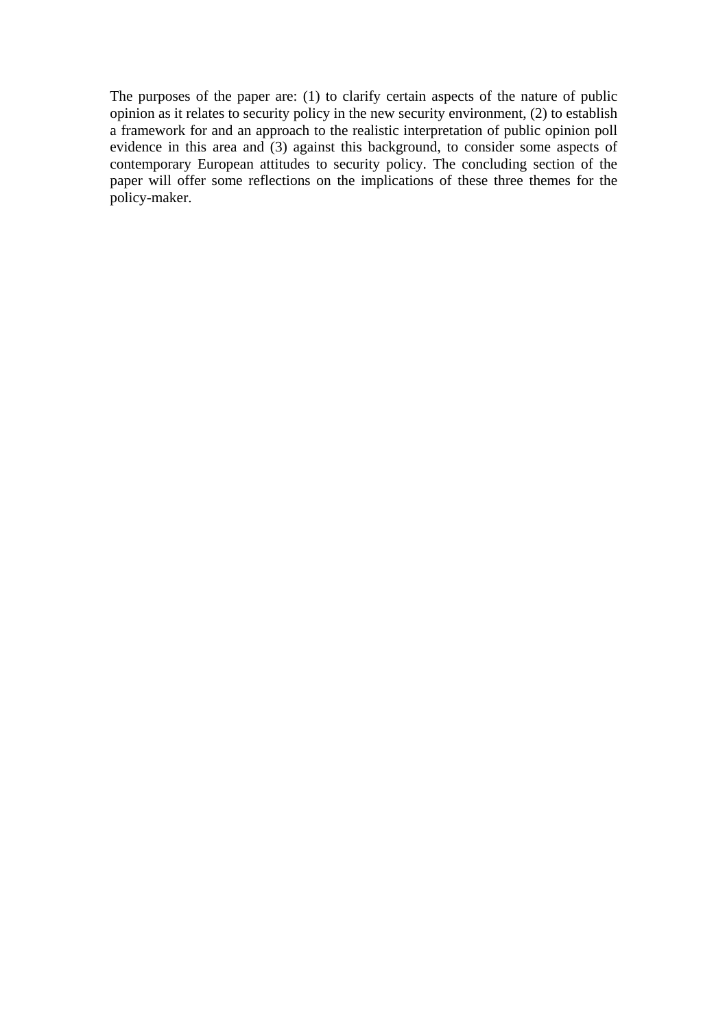The purposes of the paper are: (1) to clarify certain aspects of the nature of public opinion as it relates to security policy in the new security environment, (2) to establish a framework for and an approach to the realistic interpretation of public opinion poll evidence in this area and (3) against this background, to consider some aspects of contemporary European attitudes to security policy. The concluding section of the paper will offer some reflections on the implications of these three themes for the policy-maker.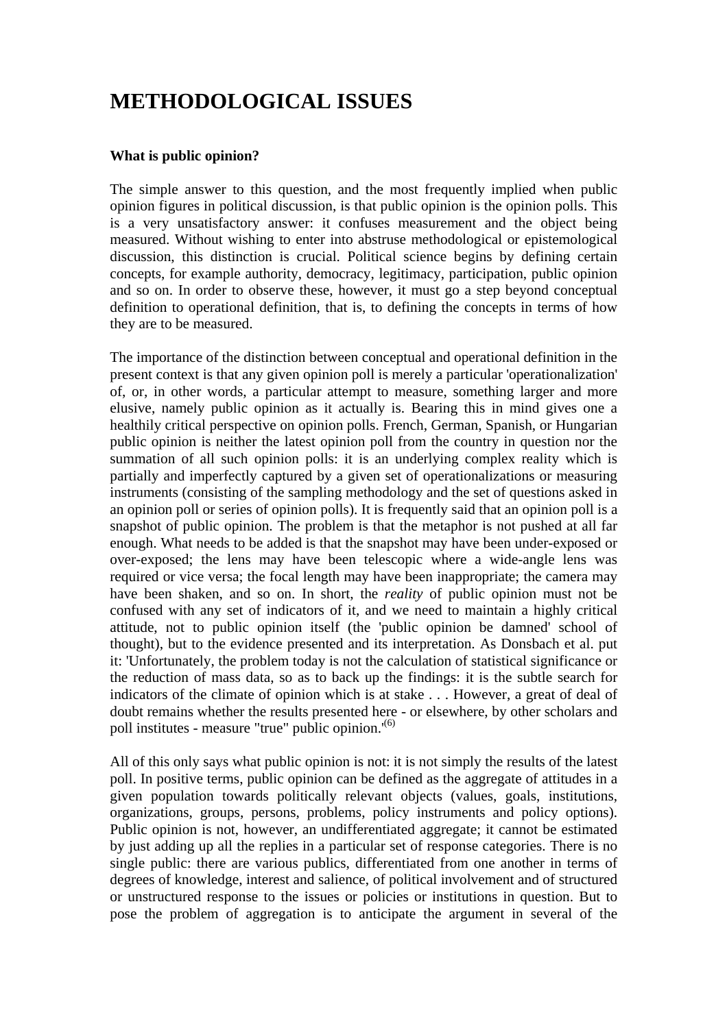# **METHODOLOGICAL ISSUES**

#### **What is public opinion?**

The simple answer to this question, and the most frequently implied when public opinion figures in political discussion, is that public opinion is the opinion polls. This is a very unsatisfactory answer: it confuses measurement and the object being measured. Without wishing to enter into abstruse methodological or epistemological discussion, this distinction is crucial. Political science begins by defining certain concepts, for example authority, democracy, legitimacy, participation, public opinion and so on. In order to observe these, however, it must go a step beyond conceptual definition to operational definition, that is, to defining the concepts in terms of how they are to be measured.

The importance of the distinction between conceptual and operational definition in the present context is that any given opinion poll is merely a particular 'operationalization' of, or, in other words, a particular attempt to measure, something larger and more elusive, namely public opinion as it actually is. Bearing this in mind gives one a healthily critical perspective on opinion polls. French, German, Spanish, or Hungarian public opinion is neither the latest opinion poll from the country in question nor the summation of all such opinion polls: it is an underlying complex reality which is partially and imperfectly captured by a given set of operationalizations or measuring instruments (consisting of the sampling methodology and the set of questions asked in an opinion poll or series of opinion polls). It is frequently said that an opinion poll is a snapshot of public opinion. The problem is that the metaphor is not pushed at all far enough. What needs to be added is that the snapshot may have been under-exposed or over-exposed; the lens may have been telescopic where a wide-angle lens was required or vice versa; the focal length may have been inappropriate; the camera may have been shaken, and so on. In short, the *reality* of public opinion must not be confused with any set of indicators of it, and we need to maintain a highly critical attitude, not to public opinion itself (the 'public opinion be damned' school of thought), but to the evidence presented and its interpretation. As Donsbach et al. put it: 'Unfortunately, the problem today is not the calculation of statistical significance or the reduction of mass data, so as to back up the findings: it is the subtle search for indicators of the climate of opinion which is at stake . . . However, a great of deal of doubt remains whether the results presented here - or elsewhere, by other scholars and poll institutes - measure "true" public opinion.<sup>'(6)</sup>

All of this only says what public opinion is not: it is not simply the results of the latest poll. In positive terms, public opinion can be defined as the aggregate of attitudes in a given population towards politically relevant objects (values, goals, institutions, organizations, groups, persons, problems, policy instruments and policy options). Public opinion is not, however, an undifferentiated aggregate; it cannot be estimated by just adding up all the replies in a particular set of response categories. There is no single public: there are various publics, differentiated from one another in terms of degrees of knowledge, interest and salience, of political involvement and of structured or unstructured response to the issues or policies or institutions in question. But to pose the problem of aggregation is to anticipate the argument in several of the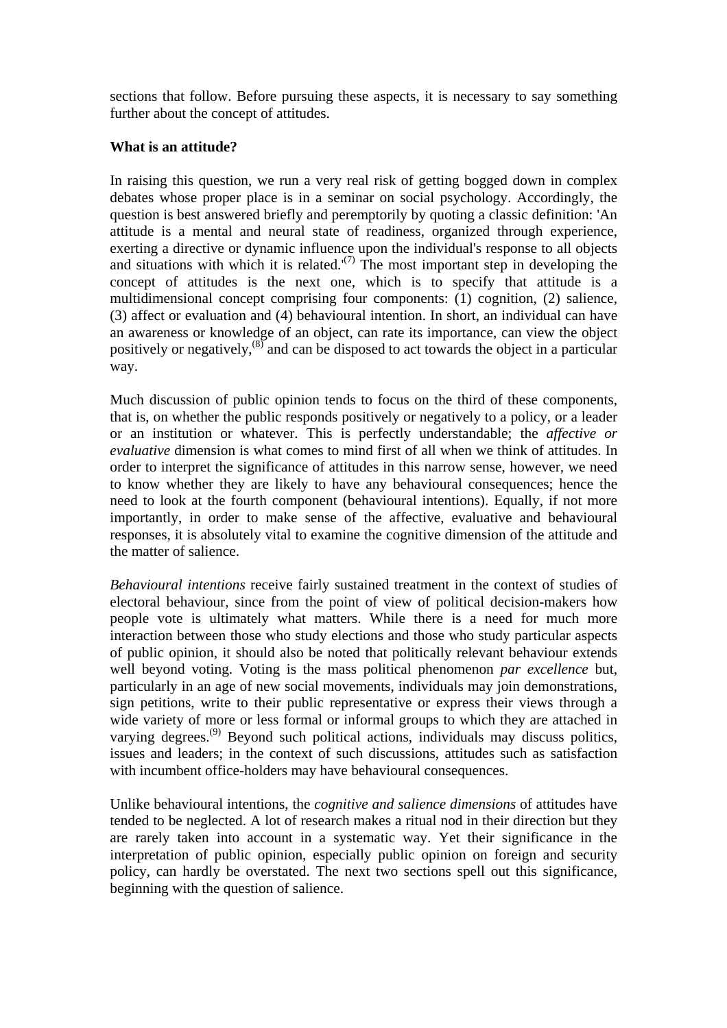sections that follow. Before pursuing these aspects, it is necessary to say something further about the concept of attitudes.

#### **What is an attitude?**

In raising this question, we run a very real risk of getting bogged down in complex debates whose proper place is in a seminar on social psychology. Accordingly, the question is best answered briefly and peremptorily by quoting a classic definition: 'An attitude is a mental and neural state of readiness, organized through experience, exerting a directive or dynamic influence upon the individual's response to all objects and situations with which it is related. $(7)$  The most important step in developing the concept of attitudes is the next one, which is to specify that attitude is a multidimensional concept comprising four components: (1) cognition, (2) salience, (3) affect or evaluation and (4) behavioural intention. In short, an individual can have an awareness or knowledge of an object, can rate its importance, can view the object positively or negatively, $\frac{(8)}{8}$  and can be disposed to act towards the object in a particular way.

Much discussion of public opinion tends to focus on the third of these components, that is, on whether the public responds positively or negatively to a policy, or a leader or an institution or whatever. This is perfectly understandable; the *affective or evaluative* dimension is what comes to mind first of all when we think of attitudes. In order to interpret the significance of attitudes in this narrow sense, however, we need to know whether they are likely to have any behavioural consequences; hence the need to look at the fourth component (behavioural intentions). Equally, if not more importantly, in order to make sense of the affective, evaluative and behavioural responses, it is absolutely vital to examine the cognitive dimension of the attitude and the matter of salience.

*Behavioural intentions* receive fairly sustained treatment in the context of studies of electoral behaviour, since from the point of view of political decision-makers how people vote is ultimately what matters. While there is a need for much more interaction between those who study elections and those who study particular aspects of public opinion, it should also be noted that politically relevant behaviour extends well beyond voting. Voting is the mass political phenomenon *par excellence* but, particularly in an age of new social movements, individuals may join demonstrations, sign petitions, write to their public representative or express their views through a wide variety of more or less formal or informal groups to which they are attached in varying degrees.<sup> $(9)$ </sup> Beyond such political actions, individuals may discuss politics, issues and leaders; in the context of such discussions, attitudes such as satisfaction with incumbent office-holders may have behavioural consequences.

Unlike behavioural intentions, the *cognitive and salience dimensions* of attitudes have tended to be neglected. A lot of research makes a ritual nod in their direction but they are rarely taken into account in a systematic way. Yet their significance in the interpretation of public opinion, especially public opinion on foreign and security policy, can hardly be overstated. The next two sections spell out this significance, beginning with the question of salience.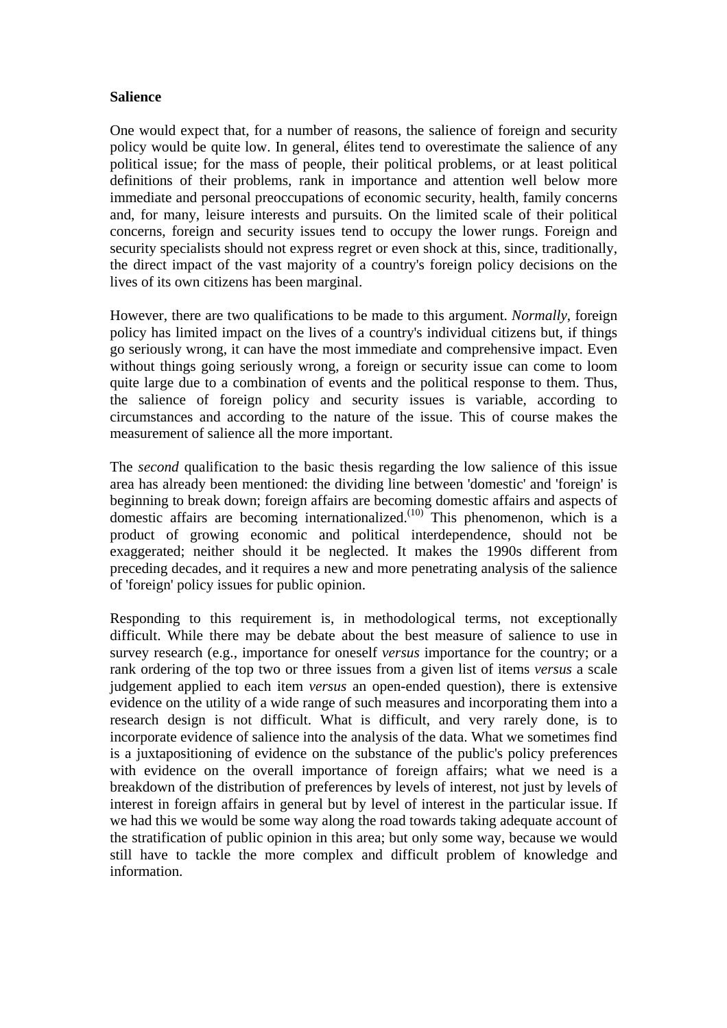#### **Salience**

One would expect that, for a number of reasons, the salience of foreign and security policy would be quite low. In general, élites tend to overestimate the salience of any political issue; for the mass of people, their political problems, or at least political definitions of their problems, rank in importance and attention well below more immediate and personal preoccupations of economic security, health, family concerns and, for many, leisure interests and pursuits. On the limited scale of their political concerns, foreign and security issues tend to occupy the lower rungs. Foreign and security specialists should not express regret or even shock at this, since, traditionally, the direct impact of the vast majority of a country's foreign policy decisions on the lives of its own citizens has been marginal.

However, there are two qualifications to be made to this argument. *Normally*, foreign policy has limited impact on the lives of a country's individual citizens but, if things go seriously wrong, it can have the most immediate and comprehensive impact. Even without things going seriously wrong, a foreign or security issue can come to loom quite large due to a combination of events and the political response to them. Thus, the salience of foreign policy and security issues is variable, according to circumstances and according to the nature of the issue. This of course makes the measurement of salience all the more important.

The *second* qualification to the basic thesis regarding the low salience of this issue area has already been mentioned: the dividing line between 'domestic' and 'foreign' is beginning to break down; foreign affairs are becoming domestic affairs and aspects of domestic affairs are becoming internationalized.<sup>(10)</sup> This phenomenon, which is a product of growing economic and political interdependence, should not be exaggerated; neither should it be neglected. It makes the 1990s different from preceding decades, and it requires a new and more penetrating analysis of the salience of 'foreign' policy issues for public opinion.

Responding to this requirement is, in methodological terms, not exceptionally difficult. While there may be debate about the best measure of salience to use in survey research (e.g., importance for oneself *versus* importance for the country; or a rank ordering of the top two or three issues from a given list of items *versus* a scale judgement applied to each item *versus* an open-ended question), there is extensive evidence on the utility of a wide range of such measures and incorporating them into a research design is not difficult. What is difficult, and very rarely done, is to incorporate evidence of salience into the analysis of the data. What we sometimes find is a juxtapositioning of evidence on the substance of the public's policy preferences with evidence on the overall importance of foreign affairs; what we need is a breakdown of the distribution of preferences by levels of interest, not just by levels of interest in foreign affairs in general but by level of interest in the particular issue. If we had this we would be some way along the road towards taking adequate account of the stratification of public opinion in this area; but only some way, because we would still have to tackle the more complex and difficult problem of knowledge and information.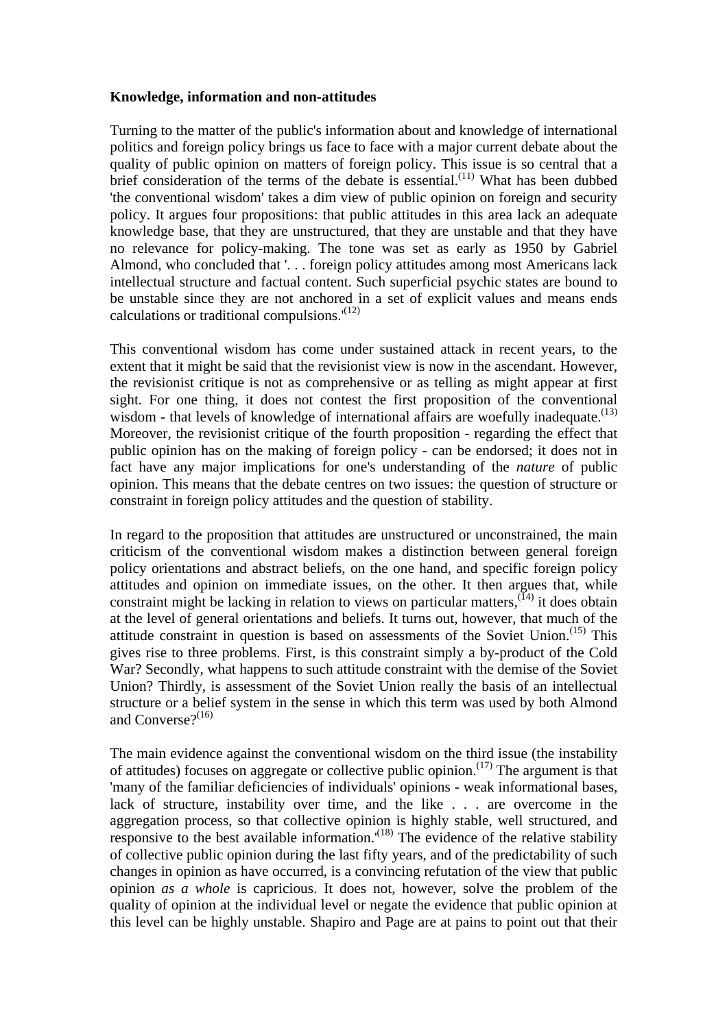#### **Knowledge, information and non-attitudes**

Turning to the matter of the public's information about and knowledge of international politics and foreign policy brings us face to face with a major current debate about the quality of public opinion on matters of foreign policy. This issue is so central that a brief consideration of the terms of the debate is essential.<sup> $(11)$ </sup> What has been dubbed 'the conventional wisdom' takes a dim view of public opinion on foreign and security policy. It argues four propositions: that public attitudes in this area lack an adequate knowledge base, that they are unstructured, that they are unstable and that they have no relevance for policy-making. The tone was set as early as 1950 by Gabriel Almond, who concluded that '. . . foreign policy attitudes among most Americans lack intellectual structure and factual content. Such superficial psychic states are bound to be unstable since they are not anchored in a set of explicit values and means ends calculations or traditional compulsions. $(12)$ 

This conventional wisdom has come under sustained attack in recent years, to the extent that it might be said that the revisionist view is now in the ascendant. However, the revisionist critique is not as comprehensive or as telling as might appear at first sight. For one thing, it does not contest the first proposition of the conventional wisdom - that levels of knowledge of international affairs are woefully inadequate. $(13)$ Moreover, the revisionist critique of the fourth proposition - regarding the effect that public opinion has on the making of foreign policy - can be endorsed; it does not in fact have any major implications for one's understanding of the *nature* of public opinion. This means that the debate centres on two issues: the question of structure or constraint in foreign policy attitudes and the question of stability.

In regard to the proposition that attitudes are unstructured or unconstrained, the main criticism of the conventional wisdom makes a distinction between general foreign policy orientations and abstract beliefs, on the one hand, and specific foreign policy attitudes and opinion on immediate issues, on the other. It then argues that, while constraint might be lacking in relation to views on particular matters,  $(14)$  it does obtain at the level of general orientations and beliefs. It turns out, however, that much of the attitude constraint in question is based on assessments of the Soviet Union.<sup> $(15)$ </sup> This gives rise to three problems. First, is this constraint simply a by-product of the Cold War? Secondly, what happens to such attitude constraint with the demise of the Soviet Union? Thirdly, is assessment of the Soviet Union really the basis of an intellectual structure or a belief system in the sense in which this term was used by both Almond and Converse? $(16)$ 

The main evidence against the conventional wisdom on the third issue (the instability of attitudes) focuses on aggregate or collective public opinion.<sup> $(17)$ </sup> The argument is that 'many of the familiar deficiencies of individuals' opinions - weak informational bases, lack of structure, instability over time, and the like . . . are overcome in the aggregation process, so that collective opinion is highly stable, well structured, and responsive to the best available information.<sup>'(18)</sup> The evidence of the relative stability of collective public opinion during the last fifty years, and of the predictability of such changes in opinion as have occurred, is a convincing refutation of the view that public opinion *as a whole* is capricious. It does not, however, solve the problem of the quality of opinion at the individual level or negate the evidence that public opinion at this level can be highly unstable. Shapiro and Page are at pains to point out that their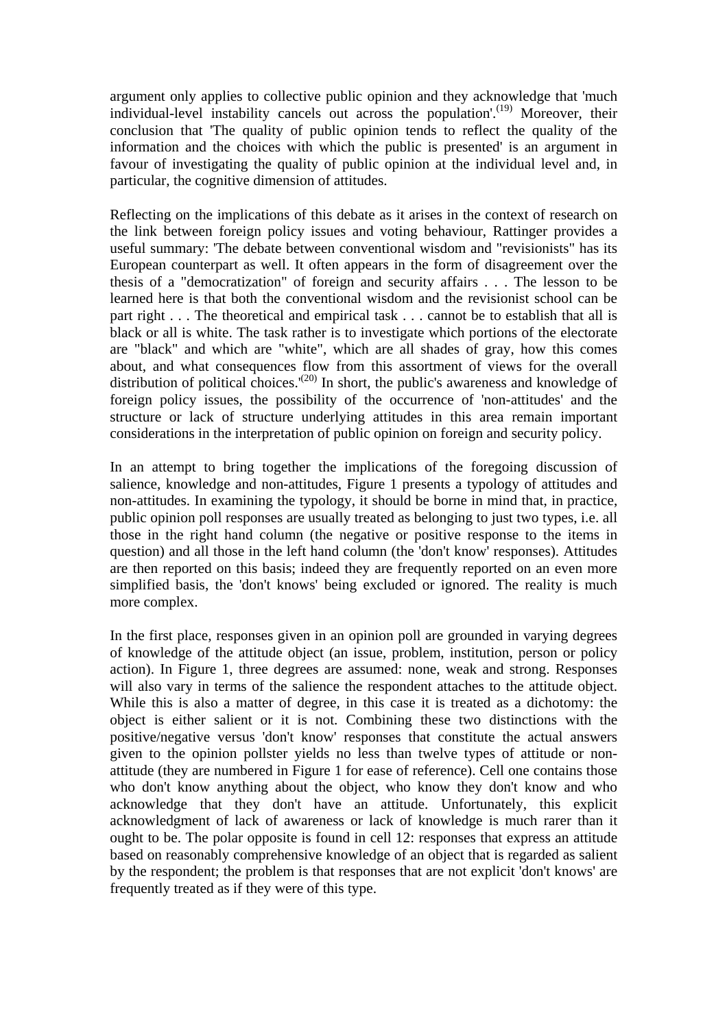argument only applies to collective public opinion and they acknowledge that 'much individual-level instability cancels out across the population'.<sup>(19)</sup> Moreover, their conclusion that 'The quality of public opinion tends to reflect the quality of the information and the choices with which the public is presented' is an argument in favour of investigating the quality of public opinion at the individual level and, in particular, the cognitive dimension of attitudes.

Reflecting on the implications of this debate as it arises in the context of research on the link between foreign policy issues and voting behaviour, Rattinger provides a useful summary: 'The debate between conventional wisdom and "revisionists" has its European counterpart as well. It often appears in the form of disagreement over the thesis of a "democratization" of foreign and security affairs . . . The lesson to be learned here is that both the conventional wisdom and the revisionist school can be part right . . . The theoretical and empirical task . . . cannot be to establish that all is black or all is white. The task rather is to investigate which portions of the electorate are "black" and which are "white", which are all shades of gray, how this comes about, and what consequences flow from this assortment of views for the overall distribution of political choices.<sup>'(20)</sup> In short, the public's awareness and knowledge of foreign policy issues, the possibility of the occurrence of 'non-attitudes' and the structure or lack of structure underlying attitudes in this area remain important considerations in the interpretation of public opinion on foreign and security policy.

In an attempt to bring together the implications of the foregoing discussion of salience, knowledge and non-attitudes, Figure 1 presents a typology of attitudes and non-attitudes. In examining the typology, it should be borne in mind that, in practice, public opinion poll responses are usually treated as belonging to just two types, i.e. all those in the right hand column (the negative or positive response to the items in question) and all those in the left hand column (the 'don't know' responses). Attitudes are then reported on this basis; indeed they are frequently reported on an even more simplified basis, the 'don't knows' being excluded or ignored. The reality is much more complex.

In the first place, responses given in an opinion poll are grounded in varying degrees of knowledge of the attitude object (an issue, problem, institution, person or policy action). In Figure 1, three degrees are assumed: none, weak and strong. Responses will also vary in terms of the salience the respondent attaches to the attitude object. While this is also a matter of degree, in this case it is treated as a dichotomy: the object is either salient or it is not. Combining these two distinctions with the positive/negative versus 'don't know' responses that constitute the actual answers given to the opinion pollster yields no less than twelve types of attitude or nonattitude (they are numbered in Figure 1 for ease of reference). Cell one contains those who don't know anything about the object, who know they don't know and who acknowledge that they don't have an attitude. Unfortunately, this explicit acknowledgment of lack of awareness or lack of knowledge is much rarer than it ought to be. The polar opposite is found in cell 12: responses that express an attitude based on reasonably comprehensive knowledge of an object that is regarded as salient by the respondent; the problem is that responses that are not explicit 'don't knows' are frequently treated as if they were of this type.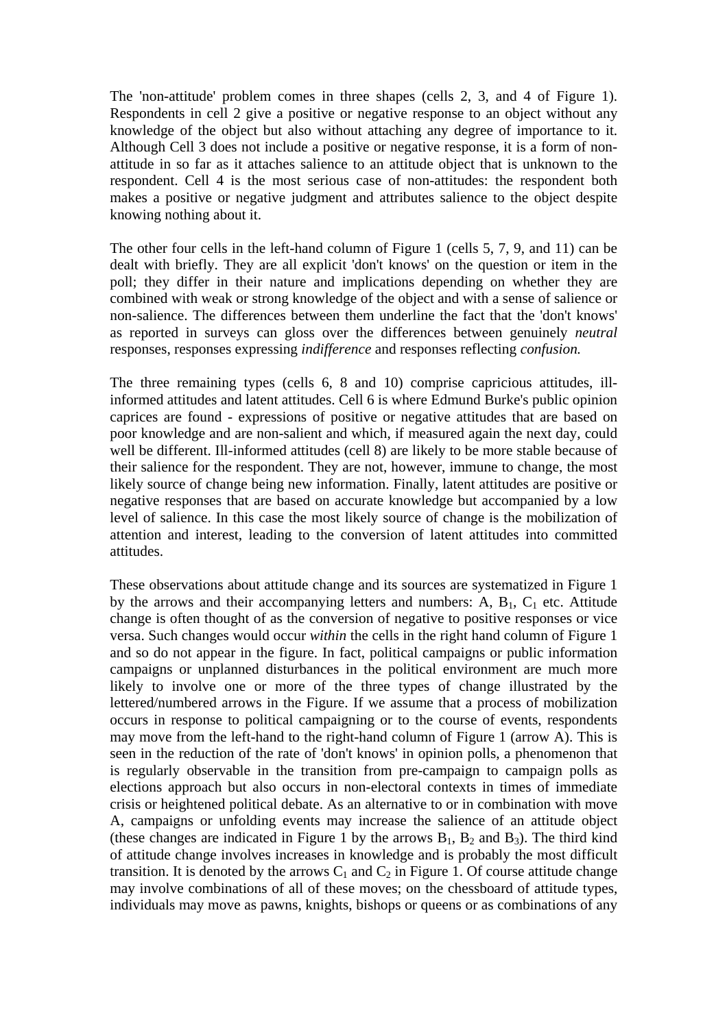The 'non-attitude' problem comes in three shapes (cells 2, 3, and 4 of Figure 1). Respondents in cell 2 give a positive or negative response to an object without any knowledge of the object but also without attaching any degree of importance to it. Although Cell 3 does not include a positive or negative response, it is a form of nonattitude in so far as it attaches salience to an attitude object that is unknown to the respondent. Cell 4 is the most serious case of non-attitudes: the respondent both makes a positive or negative judgment and attributes salience to the object despite knowing nothing about it.

The other four cells in the left-hand column of Figure 1 (cells 5, 7, 9, and 11) can be dealt with briefly. They are all explicit 'don't knows' on the question or item in the poll; they differ in their nature and implications depending on whether they are combined with weak or strong knowledge of the object and with a sense of salience or non-salience. The differences between them underline the fact that the 'don't knows' as reported in surveys can gloss over the differences between genuinely *neutral* responses, responses expressing *indifference* and responses reflecting *confusion.*

The three remaining types (cells 6, 8 and 10) comprise capricious attitudes, illinformed attitudes and latent attitudes. Cell 6 is where Edmund Burke's public opinion caprices are found - expressions of positive or negative attitudes that are based on poor knowledge and are non-salient and which, if measured again the next day, could well be different. Ill-informed attitudes (cell 8) are likely to be more stable because of their salience for the respondent. They are not, however, immune to change, the most likely source of change being new information. Finally, latent attitudes are positive or negative responses that are based on accurate knowledge but accompanied by a low level of salience. In this case the most likely source of change is the mobilization of attention and interest, leading to the conversion of latent attitudes into committed attitudes.

These observations about attitude change and its sources are systematized in Figure 1 by the arrows and their accompanying letters and numbers: A,  $B_1$ ,  $C_1$  etc. Attitude change is often thought of as the conversion of negative to positive responses or vice versa. Such changes would occur *within* the cells in the right hand column of Figure 1 and so do not appear in the figure. In fact, political campaigns or public information campaigns or unplanned disturbances in the political environment are much more likely to involve one or more of the three types of change illustrated by the lettered/numbered arrows in the Figure. If we assume that a process of mobilization occurs in response to political campaigning or to the course of events, respondents may move from the left-hand to the right-hand column of Figure 1 (arrow A). This is seen in the reduction of the rate of 'don't knows' in opinion polls, a phenomenon that is regularly observable in the transition from pre-campaign to campaign polls as elections approach but also occurs in non-electoral contexts in times of immediate crisis or heightened political debate. As an alternative to or in combination with move A, campaigns or unfolding events may increase the salience of an attitude object (these changes are indicated in Figure 1 by the arrows  $B_1$ ,  $B_2$  and  $B_3$ ). The third kind of attitude change involves increases in knowledge and is probably the most difficult transition. It is denoted by the arrows  $C_1$  and  $C_2$  in Figure 1. Of course attitude change may involve combinations of all of these moves; on the chessboard of attitude types, individuals may move as pawns, knights, bishops or queens or as combinations of any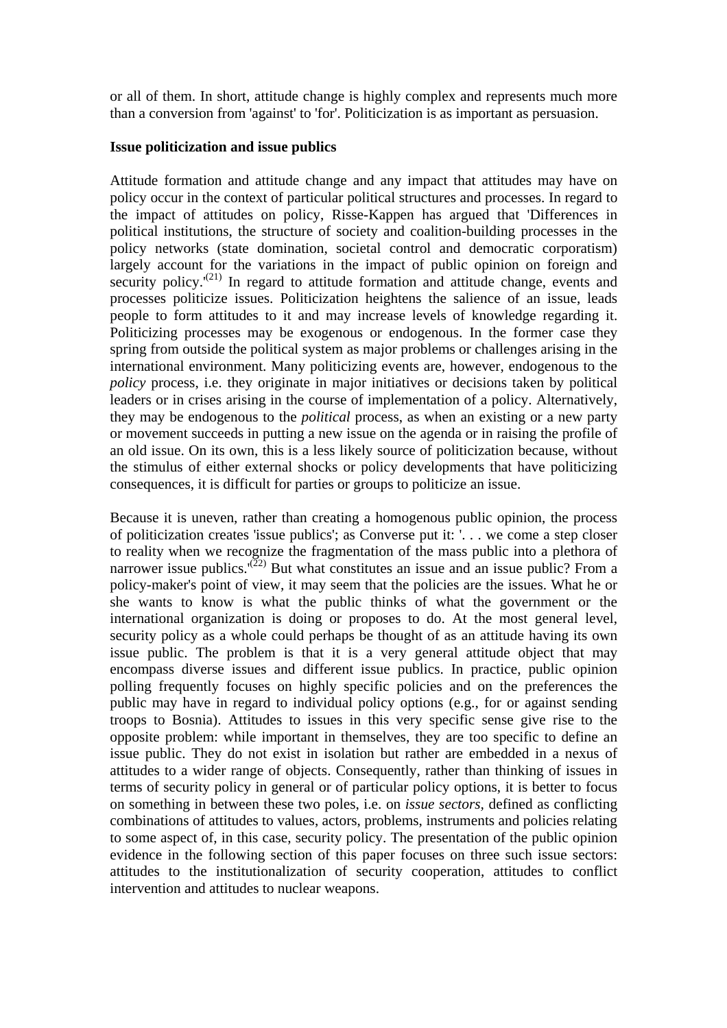or all of them. In short, attitude change is highly complex and represents much more than a conversion from 'against' to 'for'. Politicization is as important as persuasion.

#### **Issue politicization and issue publics**

Attitude formation and attitude change and any impact that attitudes may have on policy occur in the context of particular political structures and processes. In regard to the impact of attitudes on policy, Risse-Kappen has argued that 'Differences in political institutions, the structure of society and coalition-building processes in the policy networks (state domination, societal control and democratic corporatism) largely account for the variations in the impact of public opinion on foreign and security policy.<sup>(21)</sup> In regard to attitude formation and attitude change, events and processes politicize issues. Politicization heightens the salience of an issue, leads people to form attitudes to it and may increase levels of knowledge regarding it. Politicizing processes may be exogenous or endogenous. In the former case they spring from outside the political system as major problems or challenges arising in the international environment. Many politicizing events are, however, endogenous to the *policy* process, i.e. they originate in major initiatives or decisions taken by political leaders or in crises arising in the course of implementation of a policy. Alternatively, they may be endogenous to the *political* process, as when an existing or a new party or movement succeeds in putting a new issue on the agenda or in raising the profile of an old issue. On its own, this is a less likely source of politicization because, without the stimulus of either external shocks or policy developments that have politicizing consequences, it is difficult for parties or groups to politicize an issue.

Because it is uneven, rather than creating a homogenous public opinion, the process of politicization creates 'issue publics'; as Converse put it: '. . . we come a step closer to reality when we recognize the fragmentation of the mass public into a plethora of narrower issue publics.<sup> $(22)$ </sup> But what constitutes an issue and an issue public? From a policy-maker's point of view, it may seem that the policies are the issues. What he or she wants to know is what the public thinks of what the government or the international organization is doing or proposes to do. At the most general level, security policy as a whole could perhaps be thought of as an attitude having its own issue public. The problem is that it is a very general attitude object that may encompass diverse issues and different issue publics. In practice, public opinion polling frequently focuses on highly specific policies and on the preferences the public may have in regard to individual policy options (e.g., for or against sending troops to Bosnia). Attitudes to issues in this very specific sense give rise to the opposite problem: while important in themselves, they are too specific to define an issue public. They do not exist in isolation but rather are embedded in a nexus of attitudes to a wider range of objects. Consequently, rather than thinking of issues in terms of security policy in general or of particular policy options, it is better to focus on something in between these two poles, i.e. on *issue sectors,* defined as conflicting combinations of attitudes to values, actors, problems, instruments and policies relating to some aspect of, in this case, security policy. The presentation of the public opinion evidence in the following section of this paper focuses on three such issue sectors: attitudes to the institutionalization of security cooperation, attitudes to conflict intervention and attitudes to nuclear weapons.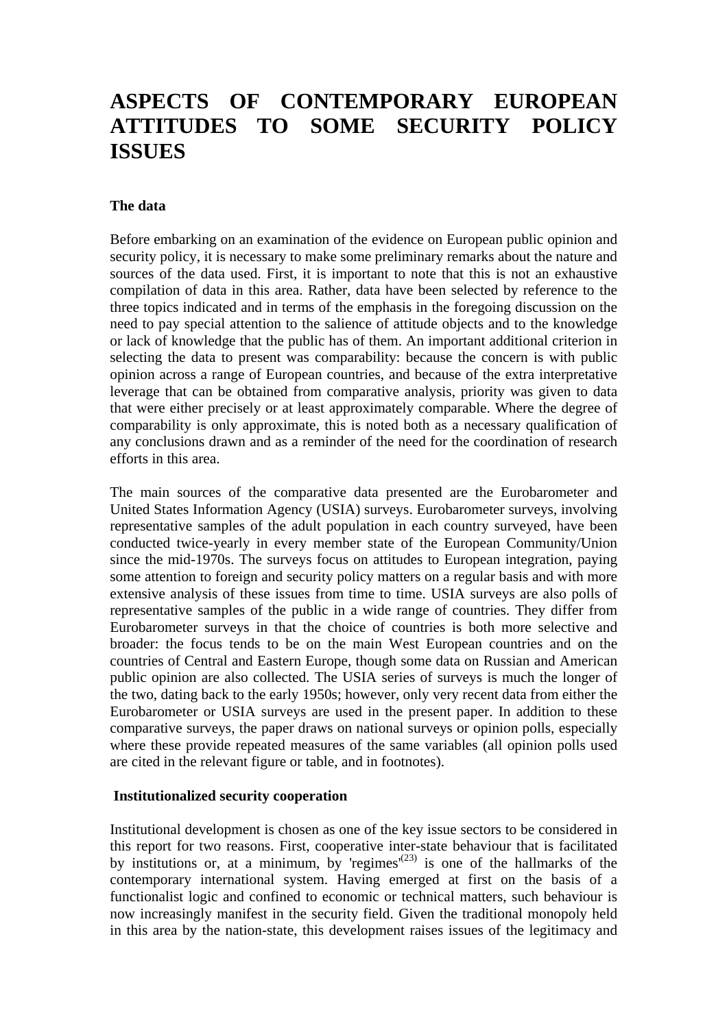## **ASPECTS OF CONTEMPORARY EUROPEAN ATTITUDES TO SOME SECURITY POLICY ISSUES**

#### **The data**

Before embarking on an examination of the evidence on European public opinion and security policy, it is necessary to make some preliminary remarks about the nature and sources of the data used. First, it is important to note that this is not an exhaustive compilation of data in this area. Rather, data have been selected by reference to the three topics indicated and in terms of the emphasis in the foregoing discussion on the need to pay special attention to the salience of attitude objects and to the knowledge or lack of knowledge that the public has of them. An important additional criterion in selecting the data to present was comparability: because the concern is with public opinion across a range of European countries, and because of the extra interpretative leverage that can be obtained from comparative analysis, priority was given to data that were either precisely or at least approximately comparable. Where the degree of comparability is only approximate, this is noted both as a necessary qualification of any conclusions drawn and as a reminder of the need for the coordination of research efforts in this area.

The main sources of the comparative data presented are the Eurobarometer and United States Information Agency (USIA) surveys. Eurobarometer surveys, involving representative samples of the adult population in each country surveyed, have been conducted twice-yearly in every member state of the European Community/Union since the mid-1970s. The surveys focus on attitudes to European integration, paying some attention to foreign and security policy matters on a regular basis and with more extensive analysis of these issues from time to time. USIA surveys are also polls of representative samples of the public in a wide range of countries. They differ from Eurobarometer surveys in that the choice of countries is both more selective and broader: the focus tends to be on the main West European countries and on the countries of Central and Eastern Europe, though some data on Russian and American public opinion are also collected. The USIA series of surveys is much the longer of the two, dating back to the early 1950s; however, only very recent data from either the Eurobarometer or USIA surveys are used in the present paper. In addition to these comparative surveys, the paper draws on national surveys or opinion polls, especially where these provide repeated measures of the same variables (all opinion polls used are cited in the relevant figure or table, and in footnotes).

#### **Institutionalized security cooperation**

Institutional development is chosen as one of the key issue sectors to be considered in this report for two reasons. First, cooperative inter-state behaviour that is facilitated by institutions or, at a minimum, by 'regimes'<sup>(23)</sup> is one of the hallmarks of the contemporary international system. Having emerged at first on the basis of a functionalist logic and confined to economic or technical matters, such behaviour is now increasingly manifest in the security field. Given the traditional monopoly held in this area by the nation-state, this development raises issues of the legitimacy and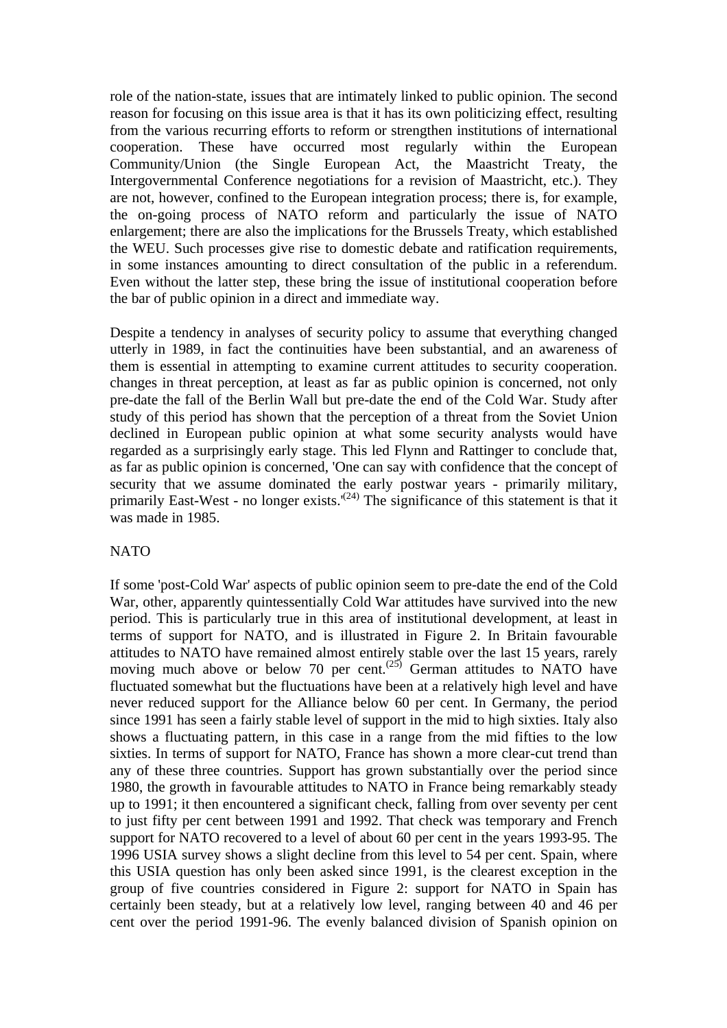role of the nation-state, issues that are intimately linked to public opinion. The second reason for focusing on this issue area is that it has its own politicizing effect, resulting from the various recurring efforts to reform or strengthen institutions of international cooperation. These have occurred most regularly within the European Community/Union (the Single European Act, the Maastricht Treaty, the Intergovernmental Conference negotiations for a revision of Maastricht, etc.). They are not, however, confined to the European integration process; there is, for example, the on-going process of NATO reform and particularly the issue of NATO enlargement; there are also the implications for the Brussels Treaty, which established the WEU. Such processes give rise to domestic debate and ratification requirements, in some instances amounting to direct consultation of the public in a referendum. Even without the latter step, these bring the issue of institutional cooperation before the bar of public opinion in a direct and immediate way.

Despite a tendency in analyses of security policy to assume that everything changed utterly in 1989, in fact the continuities have been substantial, and an awareness of them is essential in attempting to examine current attitudes to security cooperation. changes in threat perception, at least as far as public opinion is concerned, not only pre-date the fall of the Berlin Wall but pre-date the end of the Cold War. Study after study of this period has shown that the perception of a threat from the Soviet Union declined in European public opinion at what some security analysts would have regarded as a surprisingly early stage. This led Flynn and Rattinger to conclude that, as far as public opinion is concerned, 'One can say with confidence that the concept of security that we assume dominated the early postwar years - primarily military, primarily East-West - no longer exists.<sup> $(24)$ </sup> The significance of this statement is that it was made in 1985.

#### NATO

If some 'post-Cold War' aspects of public opinion seem to pre-date the end of the Cold War, other, apparently quintessentially Cold War attitudes have survived into the new period. This is particularly true in this area of institutional development, at least in terms of support for NATO, and is illustrated in Figure 2. In Britain favourable attitudes to NATO have remained almost entirely stable over the last 15 years, rarely moving much above or below 70 per cent.<sup> $(25)$ </sup> German attitudes to NATO have fluctuated somewhat but the fluctuations have been at a relatively high level and have never reduced support for the Alliance below 60 per cent. In Germany, the period since 1991 has seen a fairly stable level of support in the mid to high sixties. Italy also shows a fluctuating pattern, in this case in a range from the mid fifties to the low sixties. In terms of support for NATO, France has shown a more clear-cut trend than any of these three countries. Support has grown substantially over the period since 1980, the growth in favourable attitudes to NATO in France being remarkably steady up to 1991; it then encountered a significant check, falling from over seventy per cent to just fifty per cent between 1991 and 1992. That check was temporary and French support for NATO recovered to a level of about 60 per cent in the years 1993-95. The 1996 USIA survey shows a slight decline from this level to 54 per cent. Spain, where this USIA question has only been asked since 1991, is the clearest exception in the group of five countries considered in Figure 2: support for NATO in Spain has certainly been steady, but at a relatively low level, ranging between 40 and 46 per cent over the period 1991-96. The evenly balanced division of Spanish opinion on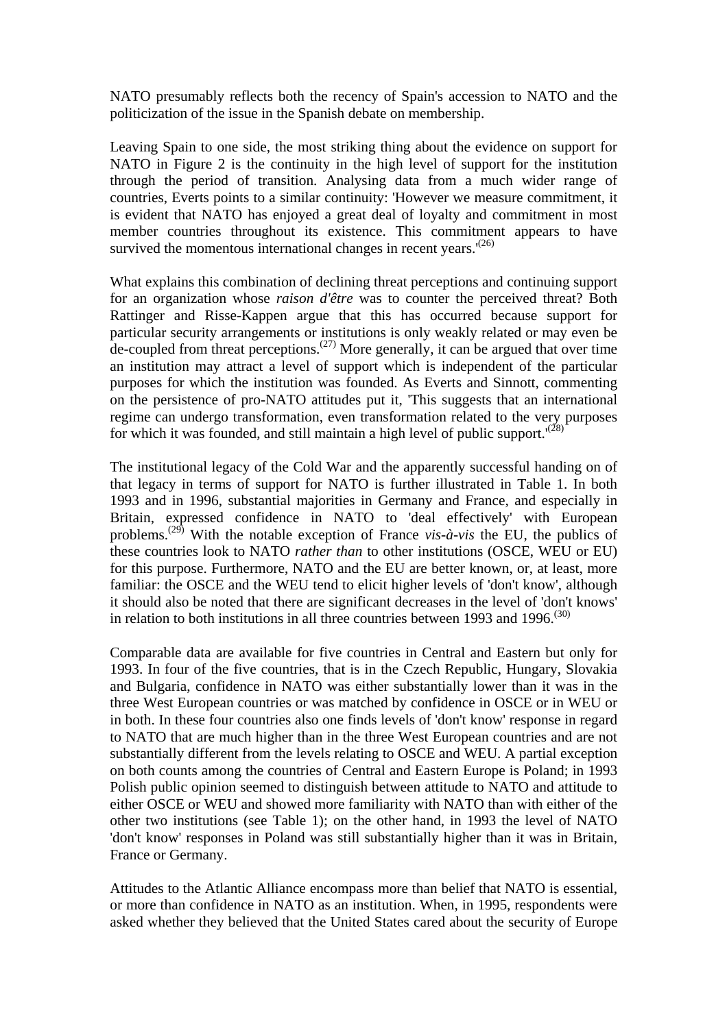NATO presumably reflects both the recency of Spain's accession to NATO and the politicization of the issue in the Spanish debate on membership.

Leaving Spain to one side, the most striking thing about the evidence on support for NATO in Figure 2 is the continuity in the high level of support for the institution through the period of transition. Analysing data from a much wider range of countries, Everts points to a similar continuity: 'However we measure commitment, it is evident that NATO has enjoyed a great deal of loyalty and commitment in most member countries throughout its existence. This commitment appears to have survived the momentous international changes in recent years. $(26)$ 

What explains this combination of declining threat perceptions and continuing support for an organization whose *raison d'être* was to counter the perceived threat? Both Rattinger and Risse-Kappen argue that this has occurred because support for particular security arrangements or institutions is only weakly related or may even be de-coupled from threat perceptions.<sup> $(27)$ </sup> More generally, it can be argued that over time an institution may attract a level of support which is independent of the particular purposes for which the institution was founded. As Everts and Sinnott, commenting on the persistence of pro-NATO attitudes put it, 'This suggests that an international regime can undergo transformation, even transformation related to the very purposes for which it was founded, and still maintain a high level of public support.<sup> $(28)$ </sup>

The institutional legacy of the Cold War and the apparently successful handing on of that legacy in terms of support for NATO is further illustrated in Table 1. In both 1993 and in 1996, substantial majorities in Germany and France, and especially in Britain, expressed confidence in NATO to 'deal effectively' with European problems.(29) With the notable exception of France *vis-à-vis* the EU, the publics of these countries look to NATO *rather than* to other institutions (OSCE, WEU or EU) for this purpose. Furthermore, NATO and the EU are better known, or, at least, more familiar: the OSCE and the WEU tend to elicit higher levels of 'don't know', although it should also be noted that there are significant decreases in the level of 'don't knows' in relation to both institutions in all three countries between 1993 and 1996.<sup> $(30)$ </sup>

Comparable data are available for five countries in Central and Eastern but only for 1993. In four of the five countries, that is in the Czech Republic, Hungary, Slovakia and Bulgaria, confidence in NATO was either substantially lower than it was in the three West European countries or was matched by confidence in OSCE or in WEU or in both. In these four countries also one finds levels of 'don't know' response in regard to NATO that are much higher than in the three West European countries and are not substantially different from the levels relating to OSCE and WEU. A partial exception on both counts among the countries of Central and Eastern Europe is Poland; in 1993 Polish public opinion seemed to distinguish between attitude to NATO and attitude to either OSCE or WEU and showed more familiarity with NATO than with either of the other two institutions (see Table 1); on the other hand, in 1993 the level of NATO 'don't know' responses in Poland was still substantially higher than it was in Britain, France or Germany.

Attitudes to the Atlantic Alliance encompass more than belief that NATO is essential, or more than confidence in NATO as an institution. When, in 1995, respondents were asked whether they believed that the United States cared about the security of Europe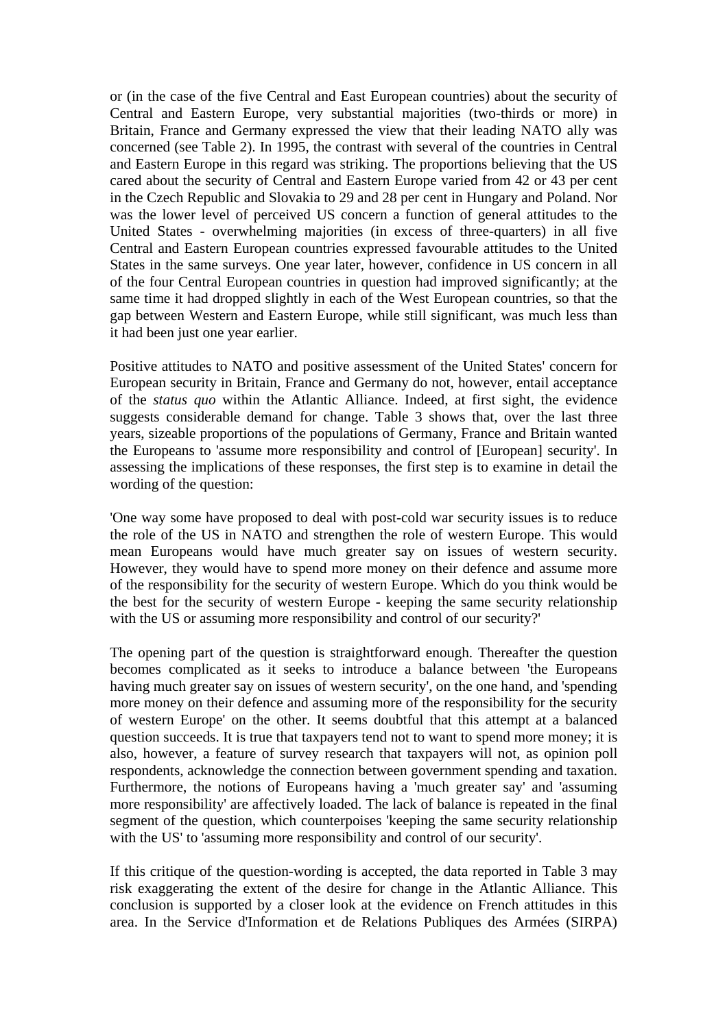or (in the case of the five Central and East European countries) about the security of Central and Eastern Europe, very substantial majorities (two-thirds or more) in Britain, France and Germany expressed the view that their leading NATO ally was concerned (see Table 2). In 1995, the contrast with several of the countries in Central and Eastern Europe in this regard was striking. The proportions believing that the US cared about the security of Central and Eastern Europe varied from 42 or 43 per cent in the Czech Republic and Slovakia to 29 and 28 per cent in Hungary and Poland. Nor was the lower level of perceived US concern a function of general attitudes to the United States - overwhelming majorities (in excess of three-quarters) in all five Central and Eastern European countries expressed favourable attitudes to the United States in the same surveys. One year later, however, confidence in US concern in all of the four Central European countries in question had improved significantly; at the same time it had dropped slightly in each of the West European countries, so that the gap between Western and Eastern Europe, while still significant, was much less than it had been just one year earlier.

Positive attitudes to NATO and positive assessment of the United States' concern for European security in Britain, France and Germany do not, however, entail acceptance of the *status quo* within the Atlantic Alliance. Indeed, at first sight, the evidence suggests considerable demand for change. Table 3 shows that, over the last three years, sizeable proportions of the populations of Germany, France and Britain wanted the Europeans to 'assume more responsibility and control of [European] security'. In assessing the implications of these responses, the first step is to examine in detail the wording of the question:

'One way some have proposed to deal with post-cold war security issues is to reduce the role of the US in NATO and strengthen the role of western Europe. This would mean Europeans would have much greater say on issues of western security. However, they would have to spend more money on their defence and assume more of the responsibility for the security of western Europe. Which do you think would be the best for the security of western Europe - keeping the same security relationship with the US or assuming more responsibility and control of our security?'

The opening part of the question is straightforward enough. Thereafter the question becomes complicated as it seeks to introduce a balance between 'the Europeans having much greater say on issues of western security', on the one hand, and 'spending more money on their defence and assuming more of the responsibility for the security of western Europe' on the other. It seems doubtful that this attempt at a balanced question succeeds. It is true that taxpayers tend not to want to spend more money; it is also, however, a feature of survey research that taxpayers will not, as opinion poll respondents, acknowledge the connection between government spending and taxation. Furthermore, the notions of Europeans having a 'much greater say' and 'assuming more responsibility' are affectively loaded. The lack of balance is repeated in the final segment of the question, which counterpoises 'keeping the same security relationship with the US' to 'assuming more responsibility and control of our security'.

If this critique of the question-wording is accepted, the data reported in Table 3 may risk exaggerating the extent of the desire for change in the Atlantic Alliance. This conclusion is supported by a closer look at the evidence on French attitudes in this area. In the Service d'Information et de Relations Publiques des Armées (SIRPA)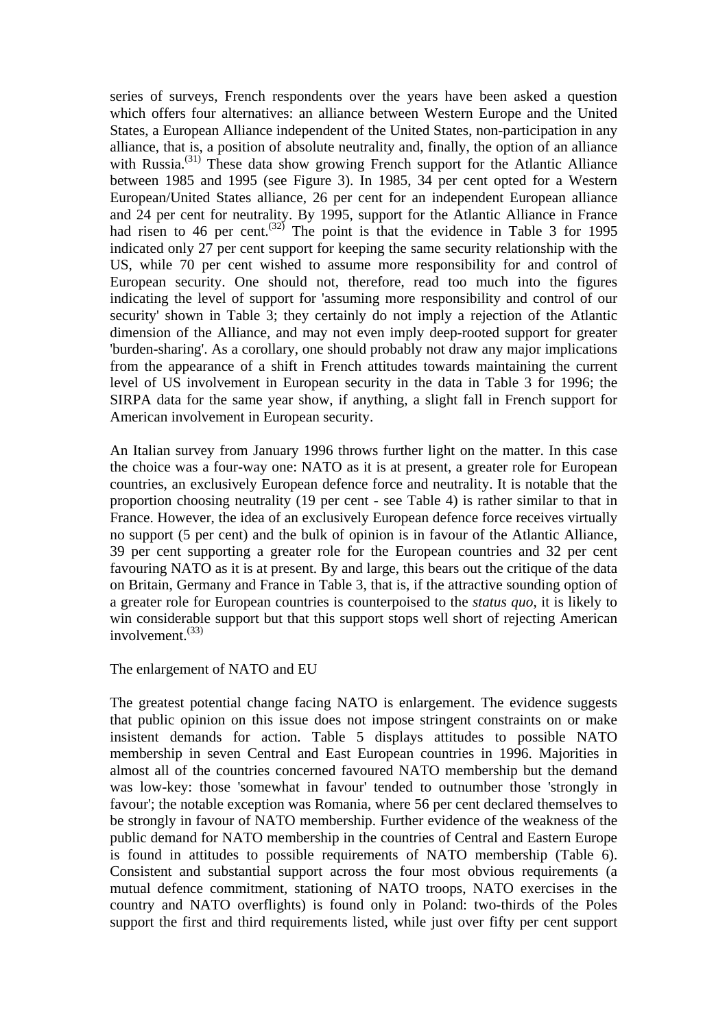series of surveys, French respondents over the years have been asked a question which offers four alternatives: an alliance between Western Europe and the United States, a European Alliance independent of the United States, non-participation in any alliance, that is, a position of absolute neutrality and, finally, the option of an alliance with Russia.<sup>(31)</sup> These data show growing French support for the Atlantic Alliance between 1985 and 1995 (see Figure 3). In 1985, 34 per cent opted for a Western European/United States alliance, 26 per cent for an independent European alliance and 24 per cent for neutrality. By 1995, support for the Atlantic Alliance in France had risen to 46 per cent.<sup> $(32)$ </sup> The point is that the evidence in Table 3 for 1995 indicated only 27 per cent support for keeping the same security relationship with the US, while 70 per cent wished to assume more responsibility for and control of European security. One should not, therefore, read too much into the figures indicating the level of support for 'assuming more responsibility and control of our security' shown in Table 3; they certainly do not imply a rejection of the Atlantic dimension of the Alliance, and may not even imply deep-rooted support for greater 'burden-sharing'. As a corollary, one should probably not draw any major implications from the appearance of a shift in French attitudes towards maintaining the current level of US involvement in European security in the data in Table 3 for 1996; the SIRPA data for the same year show, if anything, a slight fall in French support for American involvement in European security.

An Italian survey from January 1996 throws further light on the matter. In this case the choice was a four-way one: NATO as it is at present, a greater role for European countries, an exclusively European defence force and neutrality. It is notable that the proportion choosing neutrality (19 per cent - see Table 4) is rather similar to that in France. However, the idea of an exclusively European defence force receives virtually no support (5 per cent) and the bulk of opinion is in favour of the Atlantic Alliance, 39 per cent supporting a greater role for the European countries and 32 per cent favouring NATO as it is at present. By and large, this bears out the critique of the data on Britain, Germany and France in Table 3, that is, if the attractive sounding option of a greater role for European countries is counterpoised to the *status quo*, it is likely to win considerable support but that this support stops well short of rejecting American involvement. $(33)$ 

The enlargement of NATO and EU

The greatest potential change facing NATO is enlargement. The evidence suggests that public opinion on this issue does not impose stringent constraints on or make insistent demands for action. Table 5 displays attitudes to possible NATO membership in seven Central and East European countries in 1996. Majorities in almost all of the countries concerned favoured NATO membership but the demand was low-key: those 'somewhat in favour' tended to outnumber those 'strongly in favour'; the notable exception was Romania, where 56 per cent declared themselves to be strongly in favour of NATO membership. Further evidence of the weakness of the public demand for NATO membership in the countries of Central and Eastern Europe is found in attitudes to possible requirements of NATO membership (Table 6). Consistent and substantial support across the four most obvious requirements (a mutual defence commitment, stationing of NATO troops, NATO exercises in the country and NATO overflights) is found only in Poland: two-thirds of the Poles support the first and third requirements listed, while just over fifty per cent support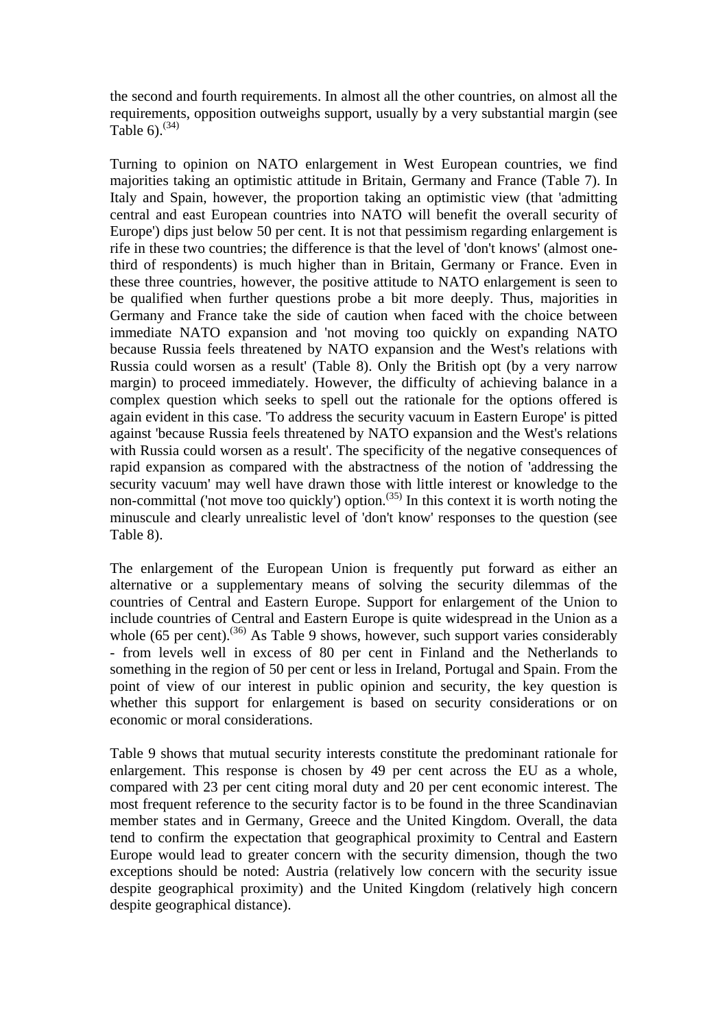the second and fourth requirements. In almost all the other countries, on almost all the requirements, opposition outweighs support, usually by a very substantial margin (see Table  $6^{(34)}$ 

Turning to opinion on NATO enlargement in West European countries, we find majorities taking an optimistic attitude in Britain, Germany and France (Table 7). In Italy and Spain, however, the proportion taking an optimistic view (that 'admitting central and east European countries into NATO will benefit the overall security of Europe') dips just below 50 per cent. It is not that pessimism regarding enlargement is rife in these two countries; the difference is that the level of 'don't knows' (almost onethird of respondents) is much higher than in Britain, Germany or France. Even in these three countries, however, the positive attitude to NATO enlargement is seen to be qualified when further questions probe a bit more deeply. Thus, majorities in Germany and France take the side of caution when faced with the choice between immediate NATO expansion and 'not moving too quickly on expanding NATO because Russia feels threatened by NATO expansion and the West's relations with Russia could worsen as a result' (Table 8). Only the British opt (by a very narrow margin) to proceed immediately. However, the difficulty of achieving balance in a complex question which seeks to spell out the rationale for the options offered is again evident in this case. 'To address the security vacuum in Eastern Europe' is pitted against 'because Russia feels threatened by NATO expansion and the West's relations with Russia could worsen as a result'. The specificity of the negative consequences of rapid expansion as compared with the abstractness of the notion of 'addressing the security vacuum' may well have drawn those with little interest or knowledge to the non-committal ('not move too quickly') option.<sup> $(35)$ </sup> In this context it is worth noting the minuscule and clearly unrealistic level of 'don't know' responses to the question (see Table 8).

The enlargement of the European Union is frequently put forward as either an alternative or a supplementary means of solving the security dilemmas of the countries of Central and Eastern Europe. Support for enlargement of the Union to include countries of Central and Eastern Europe is quite widespread in the Union as a whole  $(65 \text{ per cent})$ .<sup>(36)</sup> As Table 9 shows, however, such support varies considerably - from levels well in excess of 80 per cent in Finland and the Netherlands to something in the region of 50 per cent or less in Ireland, Portugal and Spain. From the point of view of our interest in public opinion and security, the key question is whether this support for enlargement is based on security considerations or on economic or moral considerations.

Table 9 shows that mutual security interests constitute the predominant rationale for enlargement. This response is chosen by 49 per cent across the EU as a whole, compared with 23 per cent citing moral duty and 20 per cent economic interest. The most frequent reference to the security factor is to be found in the three Scandinavian member states and in Germany, Greece and the United Kingdom. Overall, the data tend to confirm the expectation that geographical proximity to Central and Eastern Europe would lead to greater concern with the security dimension, though the two exceptions should be noted: Austria (relatively low concern with the security issue despite geographical proximity) and the United Kingdom (relatively high concern despite geographical distance).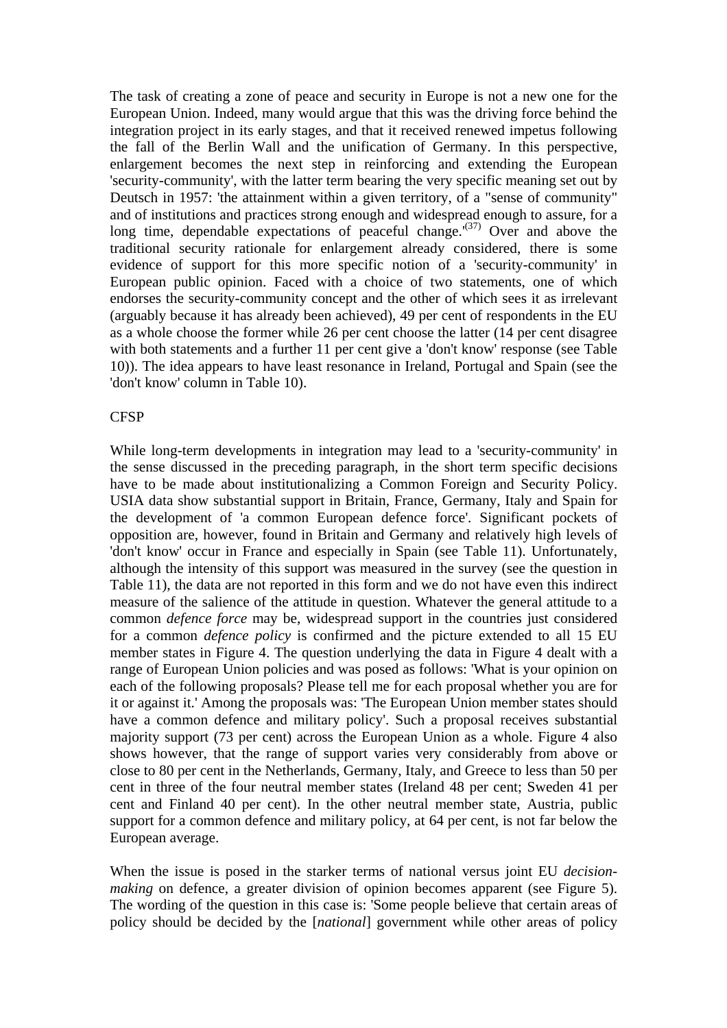The task of creating a zone of peace and security in Europe is not a new one for the European Union. Indeed, many would argue that this was the driving force behind the integration project in its early stages, and that it received renewed impetus following the fall of the Berlin Wall and the unification of Germany. In this perspective, enlargement becomes the next step in reinforcing and extending the European 'security-community', with the latter term bearing the very specific meaning set out by Deutsch in 1957: 'the attainment within a given territory, of a "sense of community" and of institutions and practices strong enough and widespread enough to assure, for a long time, dependable expectations of peaceful change.<sup> $(37)$ </sup> Over and above the traditional security rationale for enlargement already considered, there is some evidence of support for this more specific notion of a 'security-community' in European public opinion. Faced with a choice of two statements, one of which endorses the security-community concept and the other of which sees it as irrelevant (arguably because it has already been achieved), 49 per cent of respondents in the EU as a whole choose the former while 26 per cent choose the latter (14 per cent disagree with both statements and a further 11 per cent give a 'don't know' response (see Table 10)). The idea appears to have least resonance in Ireland, Portugal and Spain (see the 'don't know' column in Table 10).

#### **CFSP**

While long-term developments in integration may lead to a 'security-community' in the sense discussed in the preceding paragraph, in the short term specific decisions have to be made about institutionalizing a Common Foreign and Security Policy. USIA data show substantial support in Britain, France, Germany, Italy and Spain for the development of 'a common European defence force'. Significant pockets of opposition are, however, found in Britain and Germany and relatively high levels of 'don't know' occur in France and especially in Spain (see Table 11). Unfortunately, although the intensity of this support was measured in the survey (see the question in Table 11), the data are not reported in this form and we do not have even this indirect measure of the salience of the attitude in question. Whatever the general attitude to a common *defence force* may be, widespread support in the countries just considered for a common *defence policy* is confirmed and the picture extended to all 15 EU member states in Figure 4. The question underlying the data in Figure 4 dealt with a range of European Union policies and was posed as follows: 'What is your opinion on each of the following proposals? Please tell me for each proposal whether you are for it or against it.' Among the proposals was: 'The European Union member states should have a common defence and military policy'. Such a proposal receives substantial majority support (73 per cent) across the European Union as a whole. Figure 4 also shows however, that the range of support varies very considerably from above or close to 80 per cent in the Netherlands, Germany, Italy, and Greece to less than 50 per cent in three of the four neutral member states (Ireland 48 per cent; Sweden 41 per cent and Finland 40 per cent). In the other neutral member state, Austria, public support for a common defence and military policy, at 64 per cent, is not far below the European average.

When the issue is posed in the starker terms of national versus joint EU *decisionmaking* on defence, a greater division of opinion becomes apparent (see Figure 5). The wording of the question in this case is: 'Some people believe that certain areas of policy should be decided by the [*national*] government while other areas of policy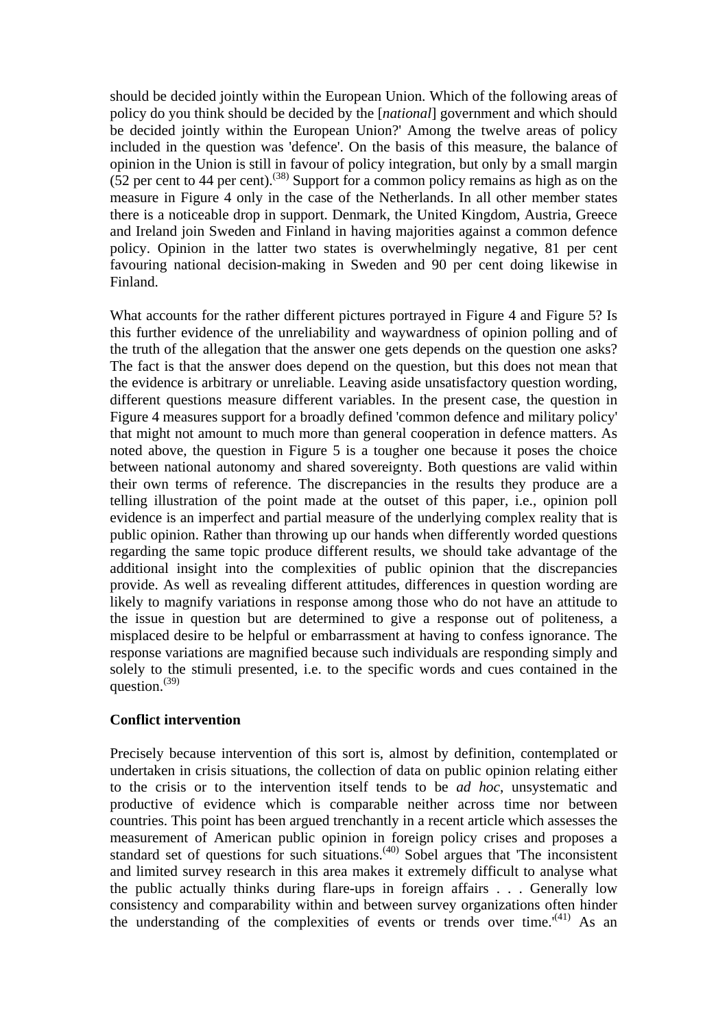should be decided jointly within the European Union. Which of the following areas of policy do you think should be decided by the [*national*] government and which should be decided jointly within the European Union?' Among the twelve areas of policy included in the question was 'defence'. On the basis of this measure, the balance of opinion in the Union is still in favour of policy integration, but only by a small margin (52 per cent to 44 per cent).<sup>(38)</sup> Support for a common policy remains as high as on the measure in Figure 4 only in the case of the Netherlands. In all other member states there is a noticeable drop in support. Denmark, the United Kingdom, Austria, Greece and Ireland join Sweden and Finland in having majorities against a common defence policy. Opinion in the latter two states is overwhelmingly negative, 81 per cent favouring national decision-making in Sweden and 90 per cent doing likewise in Finland.

What accounts for the rather different pictures portrayed in Figure 4 and Figure 5? Is this further evidence of the unreliability and waywardness of opinion polling and of the truth of the allegation that the answer one gets depends on the question one asks? The fact is that the answer does depend on the question, but this does not mean that the evidence is arbitrary or unreliable. Leaving aside unsatisfactory question wording, different questions measure different variables. In the present case, the question in Figure 4 measures support for a broadly defined 'common defence and military policy' that might not amount to much more than general cooperation in defence matters. As noted above, the question in Figure 5 is a tougher one because it poses the choice between national autonomy and shared sovereignty. Both questions are valid within their own terms of reference. The discrepancies in the results they produce are a telling illustration of the point made at the outset of this paper, i.e., opinion poll evidence is an imperfect and partial measure of the underlying complex reality that is public opinion. Rather than throwing up our hands when differently worded questions regarding the same topic produce different results, we should take advantage of the additional insight into the complexities of public opinion that the discrepancies provide. As well as revealing different attitudes, differences in question wording are likely to magnify variations in response among those who do not have an attitude to the issue in question but are determined to give a response out of politeness, a misplaced desire to be helpful or embarrassment at having to confess ignorance. The response variations are magnified because such individuals are responding simply and solely to the stimuli presented, i.e. to the specific words and cues contained in the question. $^{(39)}$ 

#### **Conflict intervention**

Precisely because intervention of this sort is, almost by definition, contemplated or undertaken in crisis situations, the collection of data on public opinion relating either to the crisis or to the intervention itself tends to be *ad hoc*, unsystematic and productive of evidence which is comparable neither across time nor between countries. This point has been argued trenchantly in a recent article which assesses the measurement of American public opinion in foreign policy crises and proposes a standard set of questions for such situations.<sup> $(40)$ </sup> Sobel argues that 'The inconsistent and limited survey research in this area makes it extremely difficult to analyse what the public actually thinks during flare-ups in foreign affairs . . . Generally low consistency and comparability within and between survey organizations often hinder the understanding of the complexities of events or trends over time.<sup> $(41)$ </sup> As an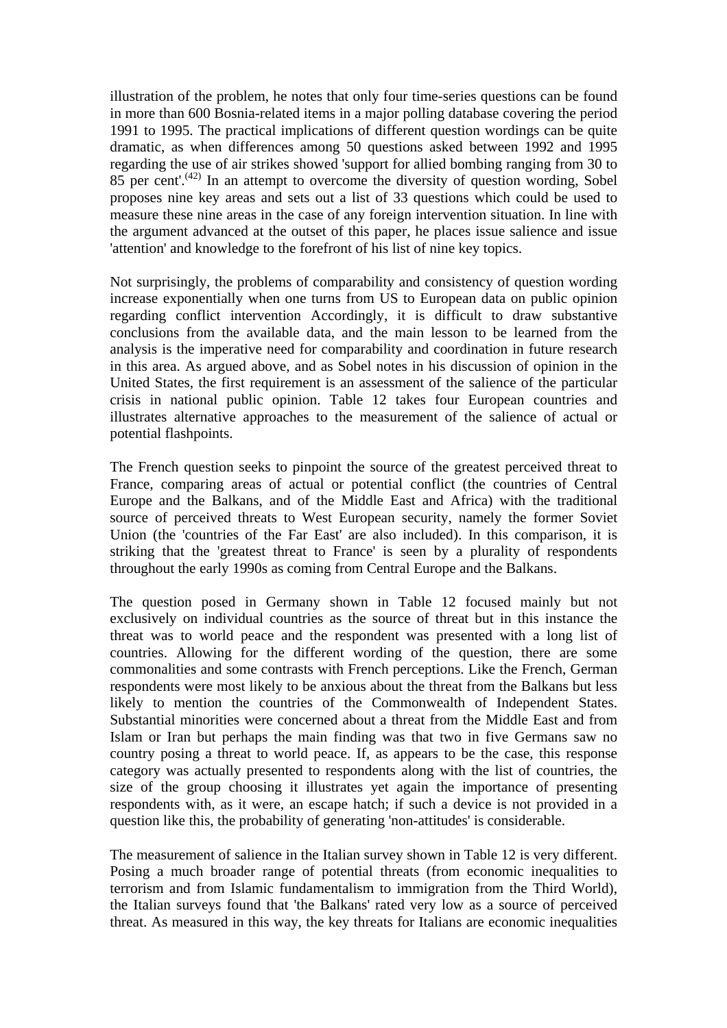illustration of the problem, he notes that only four time-series questions can be found in more than 600 Bosnia-related items in a major polling database covering the period 1991 to 1995. The practical implications of different question wordings can be quite dramatic, as when differences among 50 questions asked between 1992 and 1995 regarding the use of air strikes showed 'support for allied bombing ranging from 30 to  $85$  per cent'.<sup> $(42)$ </sup> In an attempt to overcome the diversity of question wording, Sobel proposes nine key areas and sets out a list of 33 questions which could be used to measure these nine areas in the case of any foreign intervention situation. In line with the argument advanced at the outset of this paper, he places issue salience and issue 'attention' and knowledge to the forefront of his list of nine key topics.

Not surprisingly, the problems of comparability and consistency of question wording increase exponentially when one turns from US to European data on public opinion regarding conflict intervention Accordingly, it is difficult to draw substantive conclusions from the available data, and the main lesson to be learned from the analysis is the imperative need for comparability and coordination in future research in this area. As argued above, and as Sobel notes in his discussion of opinion in the United States, the first requirement is an assessment of the salience of the particular crisis in national public opinion. Table 12 takes four European countries and illustrates alternative approaches to the measurement of the salience of actual or potential flashpoints.

The French question seeks to pinpoint the source of the greatest perceived threat to France, comparing areas of actual or potential conflict (the countries of Central Europe and the Balkans, and of the Middle East and Africa) with the traditional source of perceived threats to West European security, namely the former Soviet Union (the 'countries of the Far East' are also included). In this comparison, it is striking that the 'greatest threat to France' is seen by a plurality of respondents throughout the early 1990s as coming from Central Europe and the Balkans.

The question posed in Germany shown in Table 12 focused mainly but not exclusively on individual countries as the source of threat but in this instance the threat was to world peace and the respondent was presented with a long list of countries. Allowing for the different wording of the question, there are some commonalities and some contrasts with French perceptions. Like the French, German respondents were most likely to be anxious about the threat from the Balkans but less likely to mention the countries of the Commonwealth of Independent States. Substantial minorities were concerned about a threat from the Middle East and from Islam or Iran but perhaps the main finding was that two in five Germans saw no country posing a threat to world peace. If, as appears to be the case, this response category was actually presented to respondents along with the list of countries, the size of the group choosing it illustrates yet again the importance of presenting respondents with, as it were, an escape hatch; if such a device is not provided in a question like this, the probability of generating 'non-attitudes' is considerable.

The measurement of salience in the Italian survey shown in Table 12 is very different. Posing a much broader range of potential threats (from economic inequalities to terrorism and from Islamic fundamentalism to immigration from the Third World), the Italian surveys found that 'the Balkans' rated very low as a source of perceived threat. As measured in this way, the key threats for Italians are economic inequalities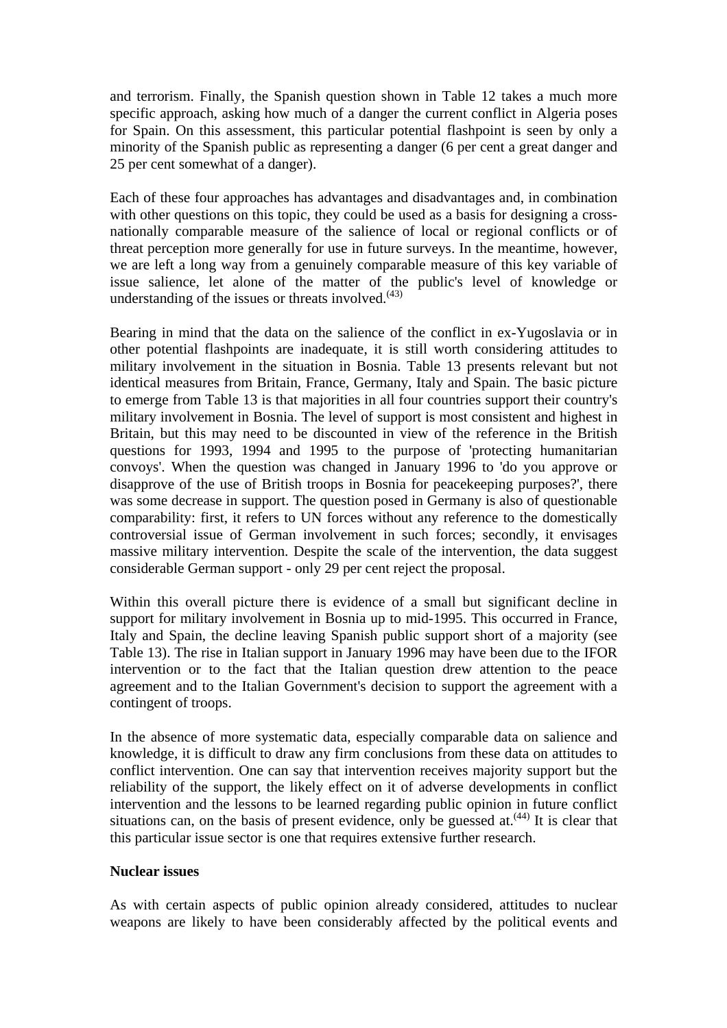and terrorism. Finally, the Spanish question shown in Table 12 takes a much more specific approach, asking how much of a danger the current conflict in Algeria poses for Spain. On this assessment, this particular potential flashpoint is seen by only a minority of the Spanish public as representing a danger (6 per cent a great danger and 25 per cent somewhat of a danger).

Each of these four approaches has advantages and disadvantages and, in combination with other questions on this topic, they could be used as a basis for designing a crossnationally comparable measure of the salience of local or regional conflicts or of threat perception more generally for use in future surveys. In the meantime, however, we are left a long way from a genuinely comparable measure of this key variable of issue salience, let alone of the matter of the public's level of knowledge or understanding of the issues or threats involved. $(43)$ 

Bearing in mind that the data on the salience of the conflict in ex-Yugoslavia or in other potential flashpoints are inadequate, it is still worth considering attitudes to military involvement in the situation in Bosnia. Table 13 presents relevant but not identical measures from Britain, France, Germany, Italy and Spain. The basic picture to emerge from Table 13 is that majorities in all four countries support their country's military involvement in Bosnia. The level of support is most consistent and highest in Britain, but this may need to be discounted in view of the reference in the British questions for 1993, 1994 and 1995 to the purpose of 'protecting humanitarian convoys'. When the question was changed in January 1996 to 'do you approve or disapprove of the use of British troops in Bosnia for peacekeeping purposes?', there was some decrease in support. The question posed in Germany is also of questionable comparability: first, it refers to UN forces without any reference to the domestically controversial issue of German involvement in such forces; secondly, it envisages massive military intervention. Despite the scale of the intervention, the data suggest considerable German support - only 29 per cent reject the proposal.

Within this overall picture there is evidence of a small but significant decline in support for military involvement in Bosnia up to mid-1995. This occurred in France, Italy and Spain, the decline leaving Spanish public support short of a majority (see Table 13). The rise in Italian support in January 1996 may have been due to the IFOR intervention or to the fact that the Italian question drew attention to the peace agreement and to the Italian Government's decision to support the agreement with a contingent of troops.

In the absence of more systematic data, especially comparable data on salience and knowledge, it is difficult to draw any firm conclusions from these data on attitudes to conflict intervention. One can say that intervention receives majority support but the reliability of the support, the likely effect on it of adverse developments in conflict intervention and the lessons to be learned regarding public opinion in future conflict situations can, on the basis of present evidence, only be guessed at.  $(44)$  It is clear that this particular issue sector is one that requires extensive further research.

#### **Nuclear issues**

As with certain aspects of public opinion already considered, attitudes to nuclear weapons are likely to have been considerably affected by the political events and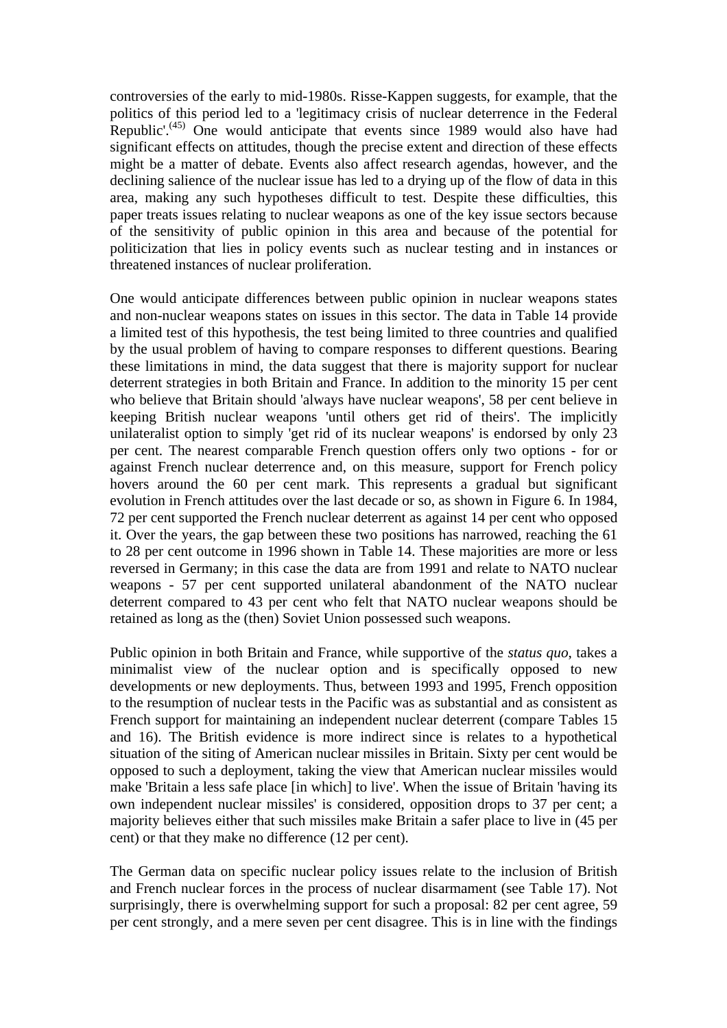controversies of the early to mid-1980s. Risse-Kappen suggests, for example, that the politics of this period led to a 'legitimacy crisis of nuclear deterrence in the Federal Republic'.<sup> $(45)$ </sup> One would anticipate that events since 1989 would also have had significant effects on attitudes, though the precise extent and direction of these effects might be a matter of debate. Events also affect research agendas, however, and the declining salience of the nuclear issue has led to a drying up of the flow of data in this area, making any such hypotheses difficult to test. Despite these difficulties, this paper treats issues relating to nuclear weapons as one of the key issue sectors because of the sensitivity of public opinion in this area and because of the potential for politicization that lies in policy events such as nuclear testing and in instances or threatened instances of nuclear proliferation.

One would anticipate differences between public opinion in nuclear weapons states and non-nuclear weapons states on issues in this sector. The data in Table 14 provide a limited test of this hypothesis, the test being limited to three countries and qualified by the usual problem of having to compare responses to different questions. Bearing these limitations in mind, the data suggest that there is majority support for nuclear deterrent strategies in both Britain and France. In addition to the minority 15 per cent who believe that Britain should 'always have nuclear weapons', 58 per cent believe in keeping British nuclear weapons 'until others get rid of theirs'. The implicitly unilateralist option to simply 'get rid of its nuclear weapons' is endorsed by only 23 per cent. The nearest comparable French question offers only two options - for or against French nuclear deterrence and, on this measure, support for French policy hovers around the 60 per cent mark. This represents a gradual but significant evolution in French attitudes over the last decade or so, as shown in Figure 6. In 1984, 72 per cent supported the French nuclear deterrent as against 14 per cent who opposed it. Over the years, the gap between these two positions has narrowed, reaching the 61 to 28 per cent outcome in 1996 shown in Table 14. These majorities are more or less reversed in Germany; in this case the data are from 1991 and relate to NATO nuclear weapons - 57 per cent supported unilateral abandonment of the NATO nuclear deterrent compared to 43 per cent who felt that NATO nuclear weapons should be retained as long as the (then) Soviet Union possessed such weapons.

Public opinion in both Britain and France, while supportive of the *status quo*, takes a minimalist view of the nuclear option and is specifically opposed to new developments or new deployments. Thus, between 1993 and 1995, French opposition to the resumption of nuclear tests in the Pacific was as substantial and as consistent as French support for maintaining an independent nuclear deterrent (compare Tables 15 and 16). The British evidence is more indirect since is relates to a hypothetical situation of the siting of American nuclear missiles in Britain. Sixty per cent would be opposed to such a deployment, taking the view that American nuclear missiles would make 'Britain a less safe place [in which] to live'. When the issue of Britain 'having its own independent nuclear missiles' is considered, opposition drops to 37 per cent; a majority believes either that such missiles make Britain a safer place to live in (45 per cent) or that they make no difference (12 per cent).

The German data on specific nuclear policy issues relate to the inclusion of British and French nuclear forces in the process of nuclear disarmament (see Table 17). Not surprisingly, there is overwhelming support for such a proposal: 82 per cent agree, 59 per cent strongly, and a mere seven per cent disagree. This is in line with the findings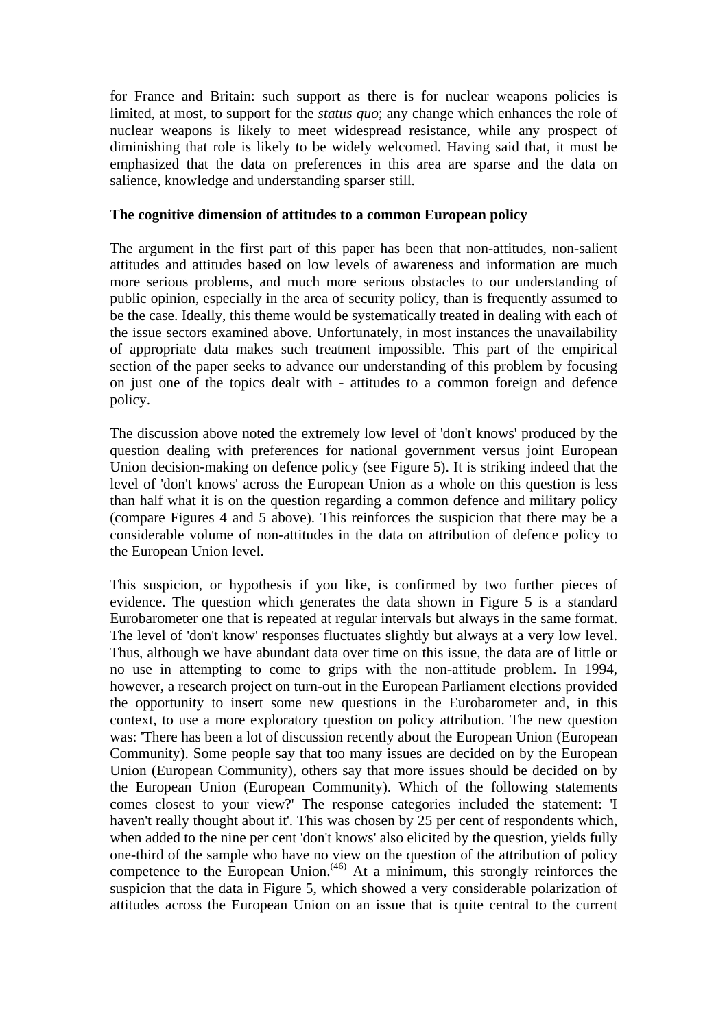for France and Britain: such support as there is for nuclear weapons policies is limited, at most, to support for the *status quo*; any change which enhances the role of nuclear weapons is likely to meet widespread resistance, while any prospect of diminishing that role is likely to be widely welcomed. Having said that, it must be emphasized that the data on preferences in this area are sparse and the data on salience, knowledge and understanding sparser still.

#### **The cognitive dimension of attitudes to a common European policy**

The argument in the first part of this paper has been that non-attitudes, non-salient attitudes and attitudes based on low levels of awareness and information are much more serious problems, and much more serious obstacles to our understanding of public opinion, especially in the area of security policy, than is frequently assumed to be the case. Ideally, this theme would be systematically treated in dealing with each of the issue sectors examined above. Unfortunately, in most instances the unavailability of appropriate data makes such treatment impossible. This part of the empirical section of the paper seeks to advance our understanding of this problem by focusing on just one of the topics dealt with - attitudes to a common foreign and defence policy.

The discussion above noted the extremely low level of 'don't knows' produced by the question dealing with preferences for national government versus joint European Union decision-making on defence policy (see Figure 5). It is striking indeed that the level of 'don't knows' across the European Union as a whole on this question is less than half what it is on the question regarding a common defence and military policy (compare Figures 4 and 5 above). This reinforces the suspicion that there may be a considerable volume of non-attitudes in the data on attribution of defence policy to the European Union level.

This suspicion, or hypothesis if you like, is confirmed by two further pieces of evidence. The question which generates the data shown in Figure 5 is a standard Eurobarometer one that is repeated at regular intervals but always in the same format. The level of 'don't know' responses fluctuates slightly but always at a very low level. Thus, although we have abundant data over time on this issue, the data are of little or no use in attempting to come to grips with the non-attitude problem. In 1994, however, a research project on turn-out in the European Parliament elections provided the opportunity to insert some new questions in the Eurobarometer and, in this context, to use a more exploratory question on policy attribution. The new question was: 'There has been a lot of discussion recently about the European Union (European Community). Some people say that too many issues are decided on by the European Union (European Community), others say that more issues should be decided on by the European Union (European Community). Which of the following statements comes closest to your view?' The response categories included the statement: 'I haven't really thought about it'. This was chosen by 25 per cent of respondents which, when added to the nine per cent 'don't knows' also elicited by the question, yields fully one-third of the sample who have no view on the question of the attribution of policy competence to the European Union.<sup>(46)</sup> At a minimum, this strongly reinforces the suspicion that the data in Figure 5, which showed a very considerable polarization of attitudes across the European Union on an issue that is quite central to the current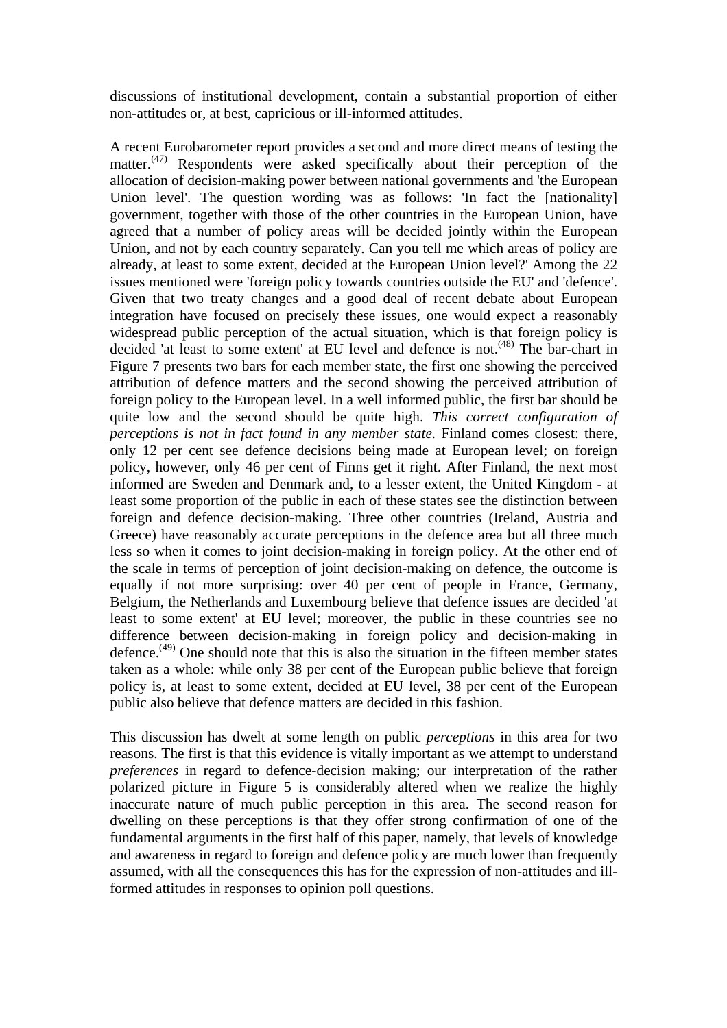discussions of institutional development, contain a substantial proportion of either non-attitudes or, at best, capricious or ill-informed attitudes.

A recent Eurobarometer report provides a second and more direct means of testing the matter. $(47)$  Respondents were asked specifically about their perception of the allocation of decision-making power between national governments and 'the European Union level'. The question wording was as follows: 'In fact the [nationality] government, together with those of the other countries in the European Union, have agreed that a number of policy areas will be decided jointly within the European Union, and not by each country separately. Can you tell me which areas of policy are already, at least to some extent, decided at the European Union level?' Among the 22 issues mentioned were 'foreign policy towards countries outside the EU' and 'defence'. Given that two treaty changes and a good deal of recent debate about European integration have focused on precisely these issues, one would expect a reasonably widespread public perception of the actual situation, which is that foreign policy is decided 'at least to some extent' at EU level and defence is not.<sup>(48)</sup> The bar-chart in Figure 7 presents two bars for each member state, the first one showing the perceived attribution of defence matters and the second showing the perceived attribution of foreign policy to the European level. In a well informed public, the first bar should be quite low and the second should be quite high. *This correct configuration of perceptions is not in fact found in any member state.* Finland comes closest: there, only 12 per cent see defence decisions being made at European level; on foreign policy, however, only 46 per cent of Finns get it right. After Finland, the next most informed are Sweden and Denmark and, to a lesser extent, the United Kingdom - at least some proportion of the public in each of these states see the distinction between foreign and defence decision-making. Three other countries (Ireland, Austria and Greece) have reasonably accurate perceptions in the defence area but all three much less so when it comes to joint decision-making in foreign policy. At the other end of the scale in terms of perception of joint decision-making on defence, the outcome is equally if not more surprising: over 40 per cent of people in France, Germany, Belgium, the Netherlands and Luxembourg believe that defence issues are decided 'at least to some extent' at EU level; moreover, the public in these countries see no difference between decision-making in foreign policy and decision-making in defence.<sup> $(49)$ </sup> One should note that this is also the situation in the fifteen member states taken as a whole: while only 38 per cent of the European public believe that foreign policy is, at least to some extent, decided at EU level, 38 per cent of the European public also believe that defence matters are decided in this fashion.

This discussion has dwelt at some length on public *perceptions* in this area for two reasons. The first is that this evidence is vitally important as we attempt to understand *preferences* in regard to defence-decision making; our interpretation of the rather polarized picture in Figure 5 is considerably altered when we realize the highly inaccurate nature of much public perception in this area. The second reason for dwelling on these perceptions is that they offer strong confirmation of one of the fundamental arguments in the first half of this paper, namely, that levels of knowledge and awareness in regard to foreign and defence policy are much lower than frequently assumed, with all the consequences this has for the expression of non-attitudes and illformed attitudes in responses to opinion poll questions.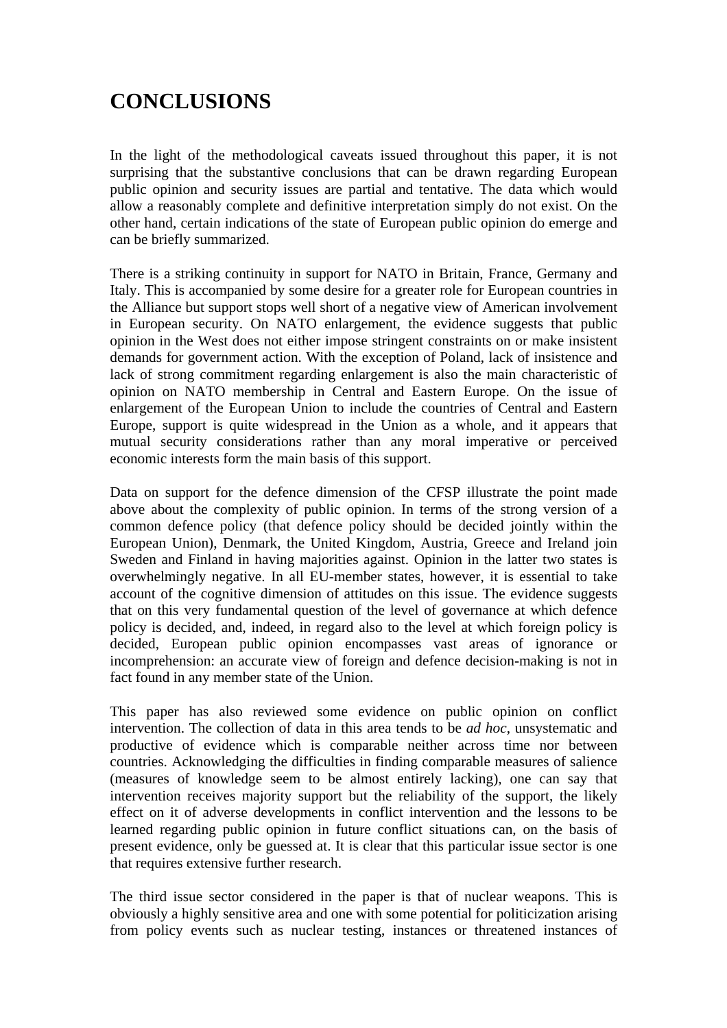# **CONCLUSIONS**

In the light of the methodological caveats issued throughout this paper, it is not surprising that the substantive conclusions that can be drawn regarding European public opinion and security issues are partial and tentative. The data which would allow a reasonably complete and definitive interpretation simply do not exist. On the other hand, certain indications of the state of European public opinion do emerge and can be briefly summarized.

There is a striking continuity in support for NATO in Britain, France, Germany and Italy. This is accompanied by some desire for a greater role for European countries in the Alliance but support stops well short of a negative view of American involvement in European security. On NATO enlargement, the evidence suggests that public opinion in the West does not either impose stringent constraints on or make insistent demands for government action. With the exception of Poland, lack of insistence and lack of strong commitment regarding enlargement is also the main characteristic of opinion on NATO membership in Central and Eastern Europe. On the issue of enlargement of the European Union to include the countries of Central and Eastern Europe, support is quite widespread in the Union as a whole, and it appears that mutual security considerations rather than any moral imperative or perceived economic interests form the main basis of this support.

Data on support for the defence dimension of the CFSP illustrate the point made above about the complexity of public opinion. In terms of the strong version of a common defence policy (that defence policy should be decided jointly within the European Union), Denmark, the United Kingdom, Austria, Greece and Ireland join Sweden and Finland in having majorities against. Opinion in the latter two states is overwhelmingly negative. In all EU-member states, however, it is essential to take account of the cognitive dimension of attitudes on this issue. The evidence suggests that on this very fundamental question of the level of governance at which defence policy is decided, and, indeed, in regard also to the level at which foreign policy is decided, European public opinion encompasses vast areas of ignorance or incomprehension: an accurate view of foreign and defence decision-making is not in fact found in any member state of the Union.

This paper has also reviewed some evidence on public opinion on conflict intervention. The collection of data in this area tends to be *ad hoc*, unsystematic and productive of evidence which is comparable neither across time nor between countries. Acknowledging the difficulties in finding comparable measures of salience (measures of knowledge seem to be almost entirely lacking), one can say that intervention receives majority support but the reliability of the support, the likely effect on it of adverse developments in conflict intervention and the lessons to be learned regarding public opinion in future conflict situations can, on the basis of present evidence, only be guessed at. It is clear that this particular issue sector is one that requires extensive further research.

The third issue sector considered in the paper is that of nuclear weapons. This is obviously a highly sensitive area and one with some potential for politicization arising from policy events such as nuclear testing, instances or threatened instances of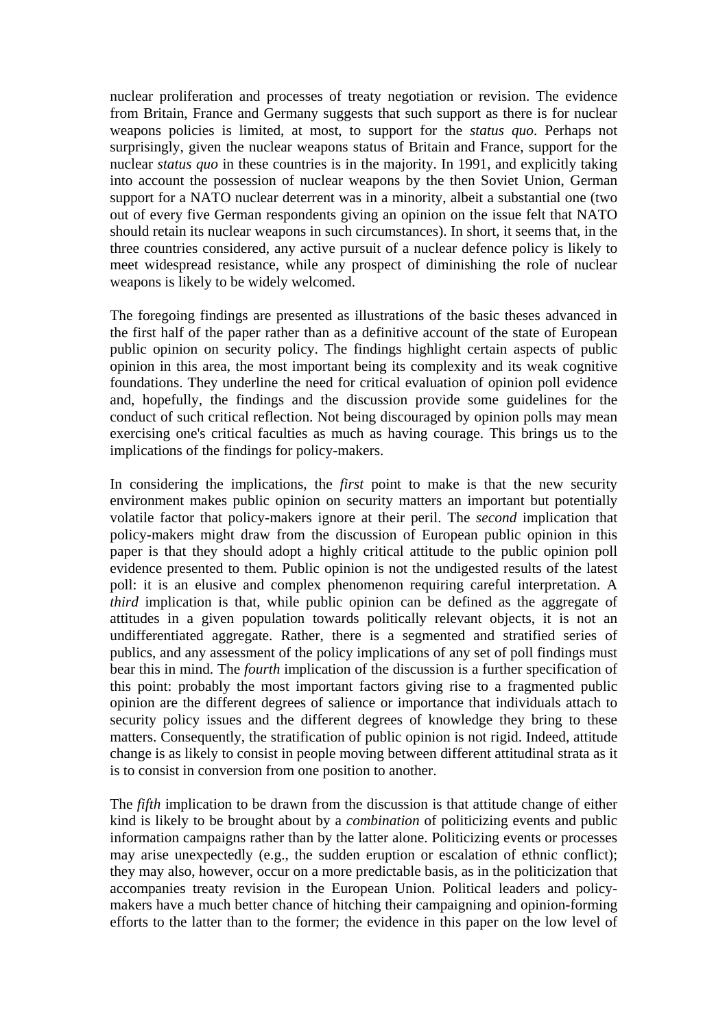nuclear proliferation and processes of treaty negotiation or revision. The evidence from Britain, France and Germany suggests that such support as there is for nuclear weapons policies is limited, at most, to support for the *status quo*. Perhaps not surprisingly, given the nuclear weapons status of Britain and France, support for the nuclear *status quo* in these countries is in the majority. In 1991, and explicitly taking into account the possession of nuclear weapons by the then Soviet Union, German support for a NATO nuclear deterrent was in a minority, albeit a substantial one (two out of every five German respondents giving an opinion on the issue felt that NATO should retain its nuclear weapons in such circumstances). In short, it seems that, in the three countries considered, any active pursuit of a nuclear defence policy is likely to meet widespread resistance, while any prospect of diminishing the role of nuclear weapons is likely to be widely welcomed.

The foregoing findings are presented as illustrations of the basic theses advanced in the first half of the paper rather than as a definitive account of the state of European public opinion on security policy. The findings highlight certain aspects of public opinion in this area, the most important being its complexity and its weak cognitive foundations. They underline the need for critical evaluation of opinion poll evidence and, hopefully, the findings and the discussion provide some guidelines for the conduct of such critical reflection. Not being discouraged by opinion polls may mean exercising one's critical faculties as much as having courage. This brings us to the implications of the findings for policy-makers.

In considering the implications, the *first* point to make is that the new security environment makes public opinion on security matters an important but potentially volatile factor that policy-makers ignore at their peril. The *second* implication that policy-makers might draw from the discussion of European public opinion in this paper is that they should adopt a highly critical attitude to the public opinion poll evidence presented to them. Public opinion is not the undigested results of the latest poll: it is an elusive and complex phenomenon requiring careful interpretation. A *third* implication is that, while public opinion can be defined as the aggregate of attitudes in a given population towards politically relevant objects, it is not an undifferentiated aggregate. Rather, there is a segmented and stratified series of publics, and any assessment of the policy implications of any set of poll findings must bear this in mind. The *fourth* implication of the discussion is a further specification of this point: probably the most important factors giving rise to a fragmented public opinion are the different degrees of salience or importance that individuals attach to security policy issues and the different degrees of knowledge they bring to these matters. Consequently, the stratification of public opinion is not rigid. Indeed, attitude change is as likely to consist in people moving between different attitudinal strata as it is to consist in conversion from one position to another.

The *fifth* implication to be drawn from the discussion is that attitude change of either kind is likely to be brought about by a *combination* of politicizing events and public information campaigns rather than by the latter alone. Politicizing events or processes may arise unexpectedly (e.g., the sudden eruption or escalation of ethnic conflict); they may also, however, occur on a more predictable basis, as in the politicization that accompanies treaty revision in the European Union. Political leaders and policymakers have a much better chance of hitching their campaigning and opinion-forming efforts to the latter than to the former; the evidence in this paper on the low level of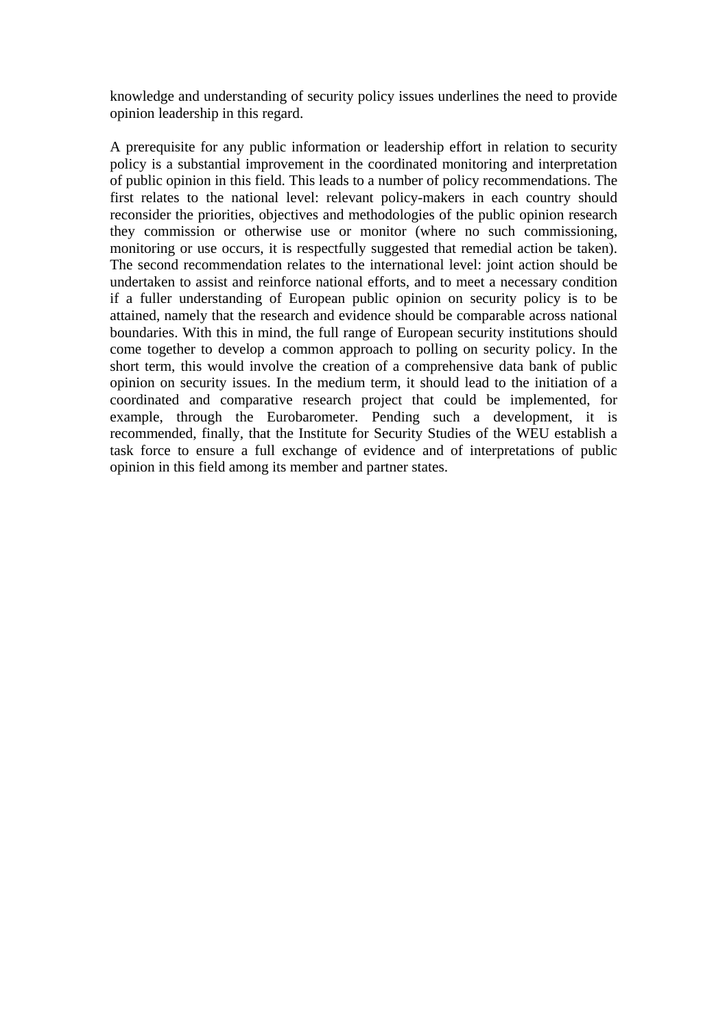knowledge and understanding of security policy issues underlines the need to provide opinion leadership in this regard.

A prerequisite for any public information or leadership effort in relation to security policy is a substantial improvement in the coordinated monitoring and interpretation of public opinion in this field. This leads to a number of policy recommendations. The first relates to the national level: relevant policy-makers in each country should reconsider the priorities, objectives and methodologies of the public opinion research they commission or otherwise use or monitor (where no such commissioning, monitoring or use occurs, it is respectfully suggested that remedial action be taken). The second recommendation relates to the international level: joint action should be undertaken to assist and reinforce national efforts, and to meet a necessary condition if a fuller understanding of European public opinion on security policy is to be attained, namely that the research and evidence should be comparable across national boundaries. With this in mind, the full range of European security institutions should come together to develop a common approach to polling on security policy. In the short term, this would involve the creation of a comprehensive data bank of public opinion on security issues. In the medium term, it should lead to the initiation of a coordinated and comparative research project that could be implemented, for example, through the Eurobarometer. Pending such a development, it is recommended, finally, that the Institute for Security Studies of the WEU establish a task force to ensure a full exchange of evidence and of interpretations of public opinion in this field among its member and partner states.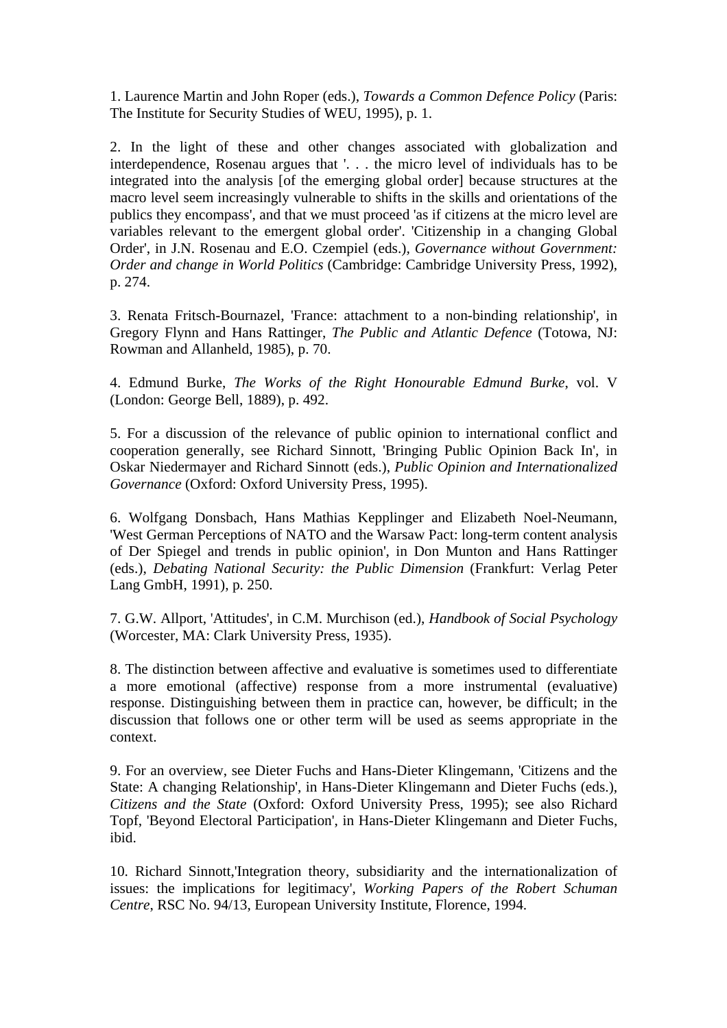1. Laurence Martin and John Roper (eds.), *Towards a Common Defence Policy* (Paris: The Institute for Security Studies of WEU, 1995), p. 1.

2. In the light of these and other changes associated with globalization and interdependence, Rosenau argues that '. . . the micro level of individuals has to be integrated into the analysis [of the emerging global order] because structures at the macro level seem increasingly vulnerable to shifts in the skills and orientations of the publics they encompass', and that we must proceed 'as if citizens at the micro level are variables relevant to the emergent global order'. 'Citizenship in a changing Global Order', in J.N. Rosenau and E.O. Czempiel (eds.)*, Governance without Government: Order and change in World Politics* (Cambridge: Cambridge University Press, 1992), p. 274.

3. Renata Fritsch-Bournazel, 'France: attachment to a non-binding relationship', in Gregory Flynn and Hans Rattinger, *The Public and Atlantic Defence* (Totowa, NJ: Rowman and Allanheld, 1985), p. 70.

4. Edmund Burke, *The Works of the Right Honourable Edmund Burke*, vol. V (London: George Bell, 1889), p. 492.

5. For a discussion of the relevance of public opinion to international conflict and cooperation generally, see Richard Sinnott, 'Bringing Public Opinion Back In', in Oskar Niedermayer and Richard Sinnott (eds.), *Public Opinion and Internationalized Governance* (Oxford: Oxford University Press, 1995).

6. Wolfgang Donsbach, Hans Mathias Kepplinger and Elizabeth Noel-Neumann, 'West German Perceptions of NATO and the Warsaw Pact: long-term content analysis of Der Spiegel and trends in public opinion', in Don Munton and Hans Rattinger (eds.), *Debating National Security: the Public Dimension* (Frankfurt: Verlag Peter Lang GmbH, 1991), p. 250.

7. G.W. Allport, 'Attitudes', in C.M. Murchison (ed.), *Handbook of Social Psychology* (Worcester, MA: Clark University Press, 1935).

8. The distinction between affective and evaluative is sometimes used to differentiate a more emotional (affective) response from a more instrumental (evaluative) response. Distinguishing between them in practice can, however, be difficult; in the discussion that follows one or other term will be used as seems appropriate in the context.

9. For an overview, see Dieter Fuchs and Hans-Dieter Klingemann, 'Citizens and the State: A changing Relationship', in Hans-Dieter Klingemann and Dieter Fuchs (eds.), *Citizens and the State* (Oxford: Oxford University Press, 1995); see also Richard Topf, 'Beyond Electoral Participation', in Hans-Dieter Klingemann and Dieter Fuchs, ibid.

10. Richard Sinnott,'Integration theory, subsidiarity and the internationalization of issues: the implications for legitimacy', *Working Papers of the Robert Schuman Centre*, RSC No. 94/13, European University Institute, Florence, 1994.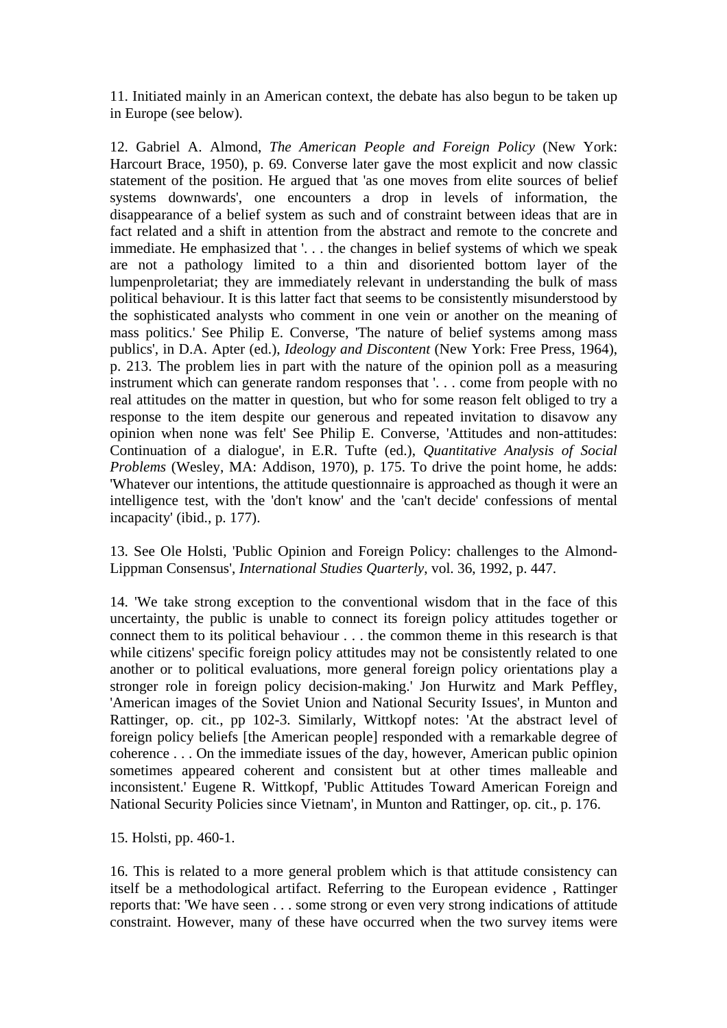11. Initiated mainly in an American context, the debate has also begun to be taken up in Europe (see below).

12. Gabriel A. Almond, *The American People and Foreign Policy* (New York: Harcourt Brace, 1950), p. 69. Converse later gave the most explicit and now classic statement of the position. He argued that 'as one moves from elite sources of belief systems downwards', one encounters a drop in levels of information, the disappearance of a belief system as such and of constraint between ideas that are in fact related and a shift in attention from the abstract and remote to the concrete and immediate. He emphasized that '. . . the changes in belief systems of which we speak are not a pathology limited to a thin and disoriented bottom layer of the lumpenproletariat; they are immediately relevant in understanding the bulk of mass political behaviour. It is this latter fact that seems to be consistently misunderstood by the sophisticated analysts who comment in one vein or another on the meaning of mass politics.' See Philip E. Converse, 'The nature of belief systems among mass publics', in D.A. Apter (ed.), *Ideology and Discontent* (New York: Free Press, 1964), p. 213. The problem lies in part with the nature of the opinion poll as a measuring instrument which can generate random responses that '. . . come from people with no real attitudes on the matter in question, but who for some reason felt obliged to try a response to the item despite our generous and repeated invitation to disavow any opinion when none was felt' See Philip E. Converse, 'Attitudes and non-attitudes: Continuation of a dialogue', in E.R. Tufte (ed.), *Quantitative Analysis of Social Problems* (Wesley, MA: Addison, 1970), p. 175. To drive the point home, he adds: 'Whatever our intentions, the attitude questionnaire is approached as though it were an intelligence test, with the 'don't know' and the 'can't decide' confessions of mental incapacity' (ibid., p. 177).

13. See Ole Holsti, 'Public Opinion and Foreign Policy: challenges to the Almond-Lippman Consensus', *International Studies Quarterly*, vol. 36, 1992, p. 447.

14. 'We take strong exception to the conventional wisdom that in the face of this uncertainty, the public is unable to connect its foreign policy attitudes together or connect them to its political behaviour . . . the common theme in this research is that while citizens' specific foreign policy attitudes may not be consistently related to one another or to political evaluations, more general foreign policy orientations play a stronger role in foreign policy decision-making.' Jon Hurwitz and Mark Peffley, 'American images of the Soviet Union and National Security Issues', in Munton and Rattinger, op. cit., pp 102-3. Similarly, Wittkopf notes: 'At the abstract level of foreign policy beliefs [the American people] responded with a remarkable degree of coherence . . . On the immediate issues of the day, however, American public opinion sometimes appeared coherent and consistent but at other times malleable and inconsistent.' Eugene R. Wittkopf, 'Public Attitudes Toward American Foreign and National Security Policies since Vietnam', in Munton and Rattinger, op. cit., p. 176.

15. Holsti, pp. 460-1.

16. This is related to a more general problem which is that attitude consistency can itself be a methodological artifact. Referring to the European evidence , Rattinger reports that: 'We have seen . . . some strong or even very strong indications of attitude constraint. However, many of these have occurred when the two survey items were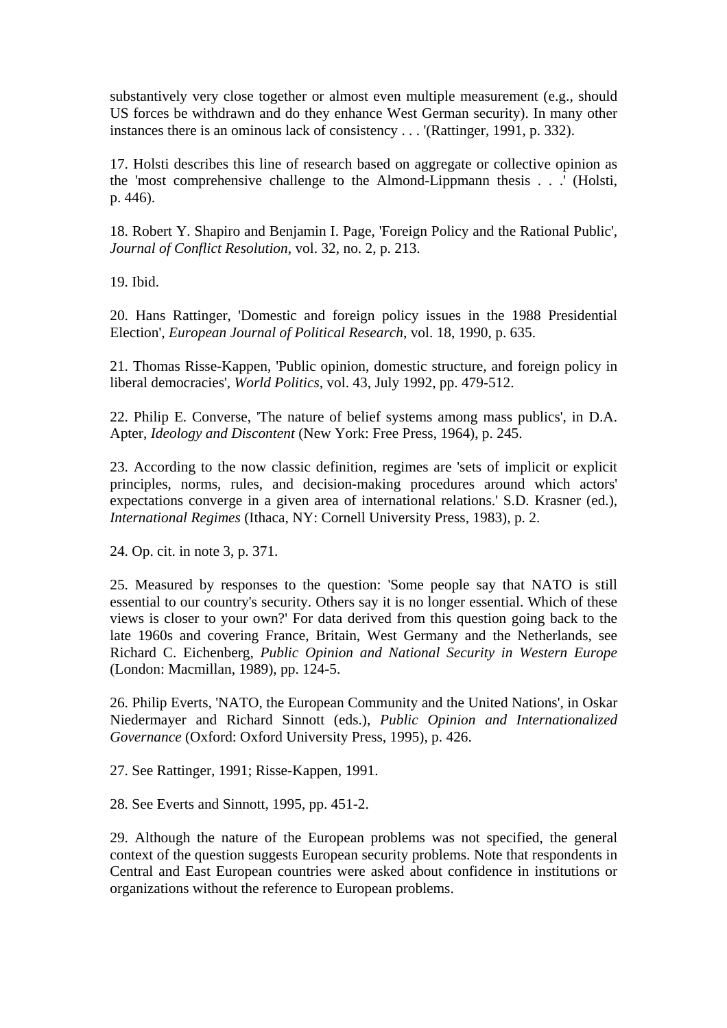substantively very close together or almost even multiple measurement (e.g., should US forces be withdrawn and do they enhance West German security). In many other instances there is an ominous lack of consistency . . . '(Rattinger, 1991, p. 332).

17. Holsti describes this line of research based on aggregate or collective opinion as the 'most comprehensive challenge to the Almond-Lippmann thesis . . .' (Holsti, p. 446).

18. Robert Y. Shapiro and Benjamin I. Page, 'Foreign Policy and the Rational Public', *Journal of Conflict Resolution*, vol. 32, no. 2, p. 213.

19. Ibid.

20. Hans Rattinger, 'Domestic and foreign policy issues in the 1988 Presidential Election', *European Journal of Political Research*, vol. 18, 1990, p. 635.

21. Thomas Risse-Kappen, 'Public opinion, domestic structure, and foreign policy in liberal democracies', *World Politics*, vol. 43, July 1992, pp. 479-512.

22. Philip E. Converse, 'The nature of belief systems among mass publics', in D.A. Apter, *Ideology and Discontent* (New York: Free Press, 1964), p. 245.

23. According to the now classic definition, regimes are 'sets of implicit or explicit principles, norms, rules, and decision-making procedures around which actors' expectations converge in a given area of international relations.' S.D. Krasner (ed.), *International Regimes* (Ithaca, NY: Cornell University Press, 1983), p. 2.

24. Op. cit. in note 3, p. 371.

25. Measured by responses to the question: 'Some people say that NATO is still essential to our country's security. Others say it is no longer essential. Which of these views is closer to your own?' For data derived from this question going back to the late 1960s and covering France, Britain, West Germany and the Netherlands, see Richard C. Eichenberg, *Public Opinion and National Security in Western Europe* (London: Macmillan, 1989), pp. 124-5.

26. Philip Everts, 'NATO, the European Community and the United Nations', in Oskar Niedermayer and Richard Sinnott (eds.), *Public Opinion and Internationalized Governance* (Oxford: Oxford University Press, 1995), p. 426.

27. See Rattinger, 1991; Risse-Kappen, 1991.

28. See Everts and Sinnott, 1995, pp. 451-2.

29. Although the nature of the European problems was not specified, the general context of the question suggests European security problems. Note that respondents in Central and East European countries were asked about confidence in institutions or organizations without the reference to European problems.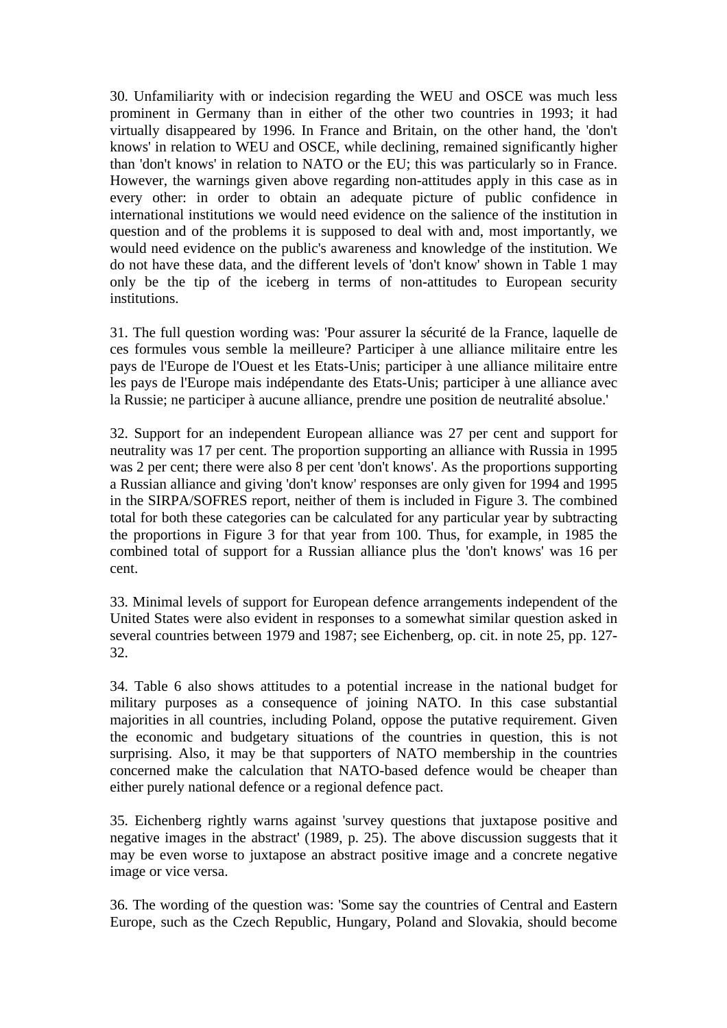30. Unfamiliarity with or indecision regarding the WEU and OSCE was much less prominent in Germany than in either of the other two countries in 1993; it had virtually disappeared by 1996. In France and Britain, on the other hand, the 'don't knows' in relation to WEU and OSCE, while declining, remained significantly higher than 'don't knows' in relation to NATO or the EU; this was particularly so in France. However, the warnings given above regarding non-attitudes apply in this case as in every other: in order to obtain an adequate picture of public confidence in international institutions we would need evidence on the salience of the institution in question and of the problems it is supposed to deal with and, most importantly, we would need evidence on the public's awareness and knowledge of the institution. We do not have these data, and the different levels of 'don't know' shown in Table 1 may only be the tip of the iceberg in terms of non-attitudes to European security institutions.

31. The full question wording was: 'Pour assurer la sécurité de la France, laquelle de ces formules vous semble la meilleure? Participer à une alliance militaire entre les pays de l'Europe de l'Ouest et les Etats-Unis; participer à une alliance militaire entre les pays de l'Europe mais indépendante des Etats-Unis; participer à une alliance avec la Russie; ne participer à aucune alliance, prendre une position de neutralité absolue.'

32. Support for an independent European alliance was 27 per cent and support for neutrality was 17 per cent. The proportion supporting an alliance with Russia in 1995 was 2 per cent; there were also 8 per cent 'don't knows'. As the proportions supporting a Russian alliance and giving 'don't know' responses are only given for 1994 and 1995 in the SIRPA/SOFRES report, neither of them is included in Figure 3. The combined total for both these categories can be calculated for any particular year by subtracting the proportions in Figure 3 for that year from 100. Thus, for example, in 1985 the combined total of support for a Russian alliance plus the 'don't knows' was 16 per cent.

33. Minimal levels of support for European defence arrangements independent of the United States were also evident in responses to a somewhat similar question asked in several countries between 1979 and 1987; see Eichenberg, op. cit. in note 25, pp. 127- 32.

34. Table 6 also shows attitudes to a potential increase in the national budget for military purposes as a consequence of joining NATO. In this case substantial majorities in all countries, including Poland, oppose the putative requirement. Given the economic and budgetary situations of the countries in question, this is not surprising. Also, it may be that supporters of NATO membership in the countries concerned make the calculation that NATO-based defence would be cheaper than either purely national defence or a regional defence pact.

35. Eichenberg rightly warns against 'survey questions that juxtapose positive and negative images in the abstract' (1989, p. 25). The above discussion suggests that it may be even worse to juxtapose an abstract positive image and a concrete negative image or vice versa.

36. The wording of the question was: 'Some say the countries of Central and Eastern Europe, such as the Czech Republic, Hungary, Poland and Slovakia, should become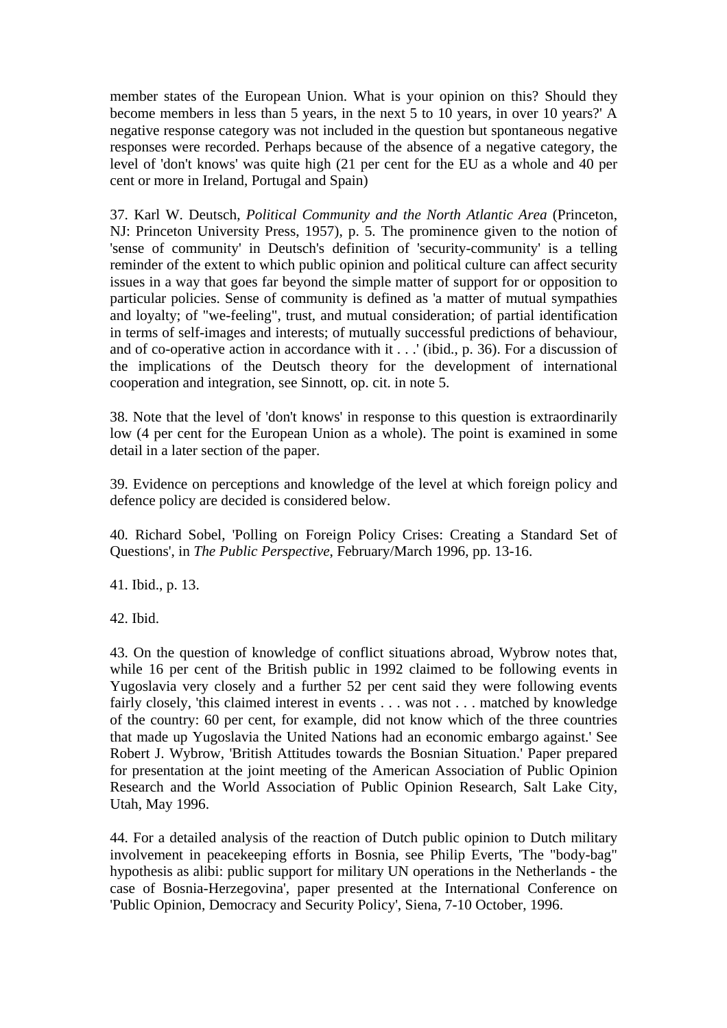member states of the European Union. What is your opinion on this? Should they become members in less than 5 years, in the next 5 to 10 years, in over 10 years?' A negative response category was not included in the question but spontaneous negative responses were recorded. Perhaps because of the absence of a negative category, the level of 'don't knows' was quite high (21 per cent for the EU as a whole and 40 per cent or more in Ireland, Portugal and Spain)

37. Karl W. Deutsch, *Political Community and the North Atlantic Area* (Princeton, NJ: Princeton University Press, 1957), p. 5. The prominence given to the notion of 'sense of community' in Deutsch's definition of 'security-community' is a telling reminder of the extent to which public opinion and political culture can affect security issues in a way that goes far beyond the simple matter of support for or opposition to particular policies. Sense of community is defined as 'a matter of mutual sympathies and loyalty; of "we-feeling", trust, and mutual consideration; of partial identification in terms of self-images and interests; of mutually successful predictions of behaviour, and of co-operative action in accordance with it . . .' (ibid., p. 36). For a discussion of the implications of the Deutsch theory for the development of international cooperation and integration, see Sinnott, op. cit. in note 5.

38. Note that the level of 'don't knows' in response to this question is extraordinarily low (4 per cent for the European Union as a whole). The point is examined in some detail in a later section of the paper.

39. Evidence on perceptions and knowledge of the level at which foreign policy and defence policy are decided is considered below.

40. Richard Sobel, 'Polling on Foreign Policy Crises: Creating a Standard Set of Questions', in *The Public Perspective*, February/March 1996, pp. 13-16.

41. Ibid., p. 13.

42. Ibid.

43. On the question of knowledge of conflict situations abroad, Wybrow notes that, while 16 per cent of the British public in 1992 claimed to be following events in Yugoslavia very closely and a further 52 per cent said they were following events fairly closely, 'this claimed interest in events . . . was not . . . matched by knowledge of the country: 60 per cent, for example, did not know which of the three countries that made up Yugoslavia the United Nations had an economic embargo against.' See Robert J. Wybrow, 'British Attitudes towards the Bosnian Situation.' Paper prepared for presentation at the joint meeting of the American Association of Public Opinion Research and the World Association of Public Opinion Research, Salt Lake City, Utah, May 1996.

44. For a detailed analysis of the reaction of Dutch public opinion to Dutch military involvement in peacekeeping efforts in Bosnia, see Philip Everts, 'The "body-bag" hypothesis as alibi: public support for military UN operations in the Netherlands - the case of Bosnia-Herzegovina', paper presented at the International Conference on 'Public Opinion, Democracy and Security Policy', Siena, 7-10 October, 1996.